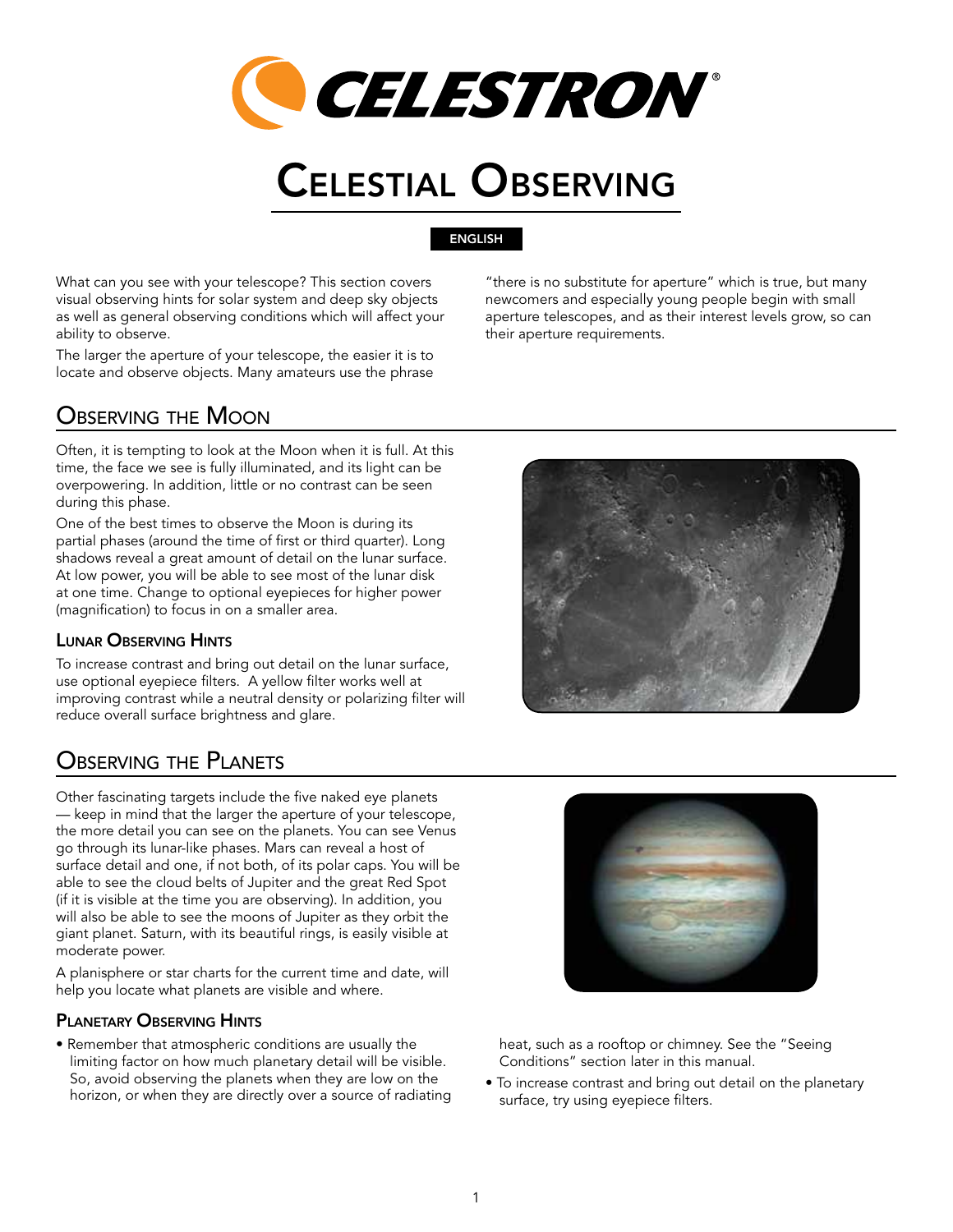

# Celestial Observing

#### English

What can you see with your telescope? This section covers visual observing hints for solar system and deep sky objects as well as general observing conditions which will affect your ability to observe.

The larger the aperture of your telescope, the easier it is to locate and observe objects. Many amateurs use the phrase

## Observing the Moon

Often, it is tempting to look at the Moon when it is full. At this time, the face we see is fully illuminated, and its light can be overpowering. In addition, little or no contrast can be seen during this phase.

One of the best times to observe the Moon is during its partial phases (around the time of first or third quarter). Long shadows reveal a great amount of detail on the lunar surface. At low power, you will be able to see most of the lunar disk at one time. Change to optional eyepieces for higher power (magnification) to focus in on a smaller area.

#### Lunar Observing Hints

To increase contrast and bring out detail on the lunar surface, use optional eyepiece filters. A yellow filter works well at improving contrast while a neutral density or polarizing filter will reduce overall surface brightness and glare.

Observing the Planets

Other fascinating targets include the five naked eye planets — keep in mind that the larger the aperture of your telescope, the more detail you can see on the planets. You can see Venus go through its lunar-like phases. Mars can reveal a host of surface detail and one, if not both, of its polar caps. You will be able to see the cloud belts of Jupiter and the great Red Spot (if it is visible at the time you are observing). In addition, you will also be able to see the moons of Jupiter as they orbit the giant planet. Saturn, with its beautiful rings, is easily visible at moderate power.

A planisphere or star charts for the current time and date, will help you locate what planets are visible and where.

#### Planetary Observing Hints

• Remember that atmospheric conditions are usually the limiting factor on how much planetary detail will be visible. So, avoid observing the planets when they are low on the horizon, or when they are directly over a source of radiating



heat, such as a rooftop or chimney. See the "Seeing Conditions" section later in this manual.

• To increase contrast and bring out detail on the planetary surface, try using eyepiece filters.

"there is no substitute for aperture" which is true, but many newcomers and especially young people begin with small aperture telescopes, and as their interest levels grow, so can their aperture requirements.

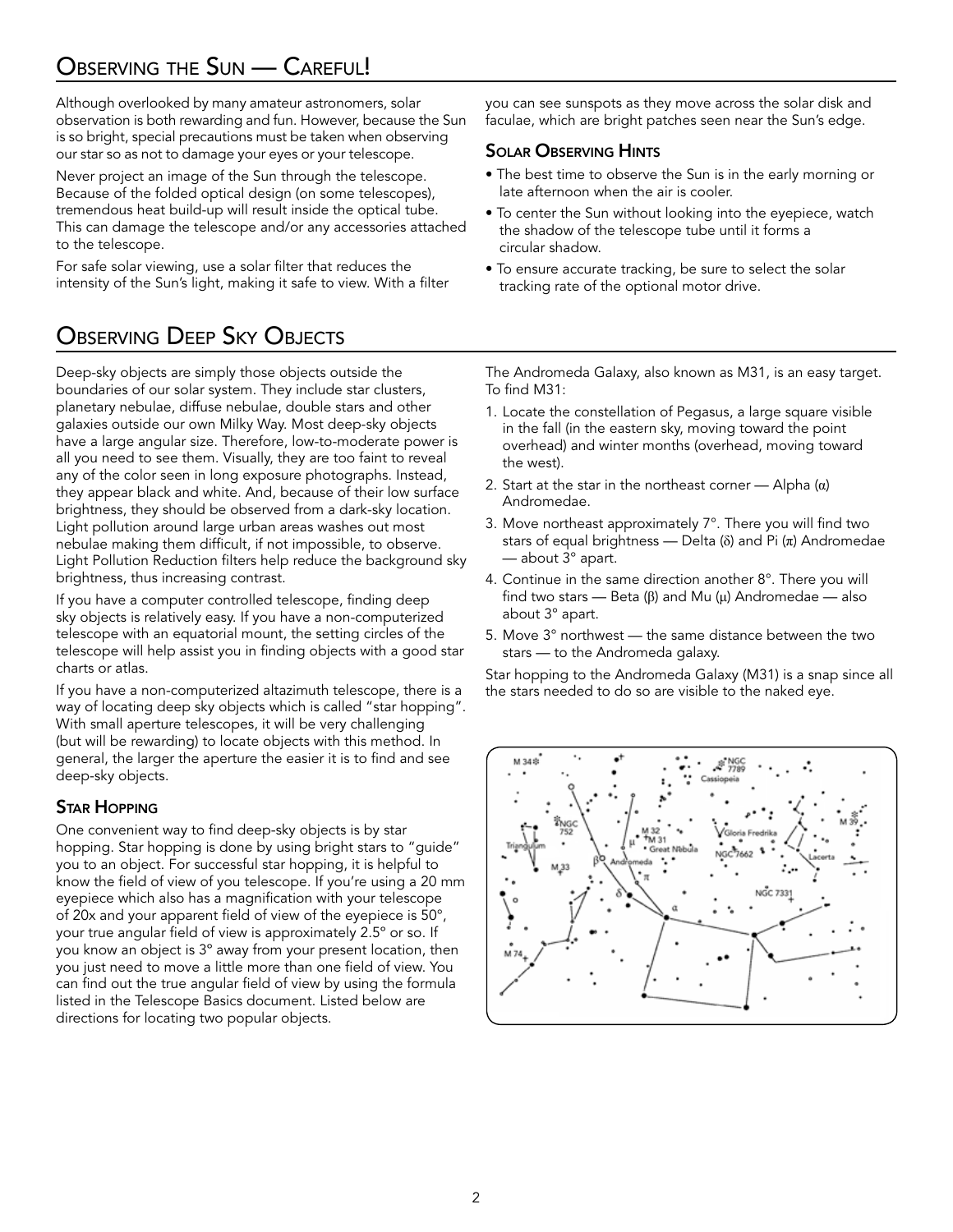Although overlooked by many amateur astronomers, solar observation is both rewarding and fun. However, because the Sun is so bright, special precautions must be taken when observing our star so as not to damage your eyes or your telescope.

Never project an image of the Sun through the telescope. Because of the folded optical design (on some telescopes), tremendous heat build-up will result inside the optical tube. This can damage the telescope and/or any accessories attached to the telescope.

For safe solar viewing, use a solar filter that reduces the intensity of the Sun's light, making it safe to view. With a filter

## **OBSERVING DEEP SKY OBJECTS**

Deep-sky objects are simply those objects outside the boundaries of our solar system. They include star clusters, planetary nebulae, diffuse nebulae, double stars and other galaxies outside our own Milky Way. Most deep-sky objects have a large angular size. Therefore, low-to-moderate power is all you need to see them. Visually, they are too faint to reveal any of the color seen in long exposure photographs. Instead, they appear black and white. And, because of their low surface brightness, they should be observed from a dark-sky location. Light pollution around large urban areas washes out most nebulae making them difficult, if not impossible, to observe. Light Pollution Reduction filters help reduce the background sky brightness, thus increasing contrast.

If you have a computer controlled telescope, finding deep sky objects is relatively easy. If you have a non-computerized telescope with an equatorial mount, the setting circles of the telescope will help assist you in finding objects with a good star charts or atlas.

If you have a non-computerized altazimuth telescope, there is a way of locating deep sky objects which is called "star hopping". With small aperture telescopes, it will be very challenging (but will be rewarding) to locate objects with this method. In general, the larger the aperture the easier it is to find and see deep-sky objects.

#### **STAR HOPPING**

One convenient way to find deep-sky objects is by star hopping. Star hopping is done by using bright stars to "guide" you to an object. For successful star hopping, it is helpful to know the field of view of you telescope. If you're using a 20 mm eyepiece which also has a magnification with your telescope of 20x and your apparent field of view of the eyepiece is 50°, your true angular field of view is approximately 2.5º or so. If you know an object is 3º away from your present location, then you just need to move a little more than one field of view. You can find out the true angular field of view by using the formula listed in the Telescope Basics document. Listed below are directions for locating two popular objects.

you can see sunspots as they move across the solar disk and faculae, which are bright patches seen near the Sun's edge.

#### Solar Observing Hints

- The best time to observe the Sun is in the early morning or late afternoon when the air is cooler.
- To center the Sun without looking into the eyepiece, watch the shadow of the telescope tube until it forms a circular shadow.
- To ensure accurate tracking, be sure to select the solar tracking rate of the optional motor drive.

The Andromeda Galaxy, also known as M31, is an easy target. To find M31:

- 1. Locate the constellation of Pegasus, a large square visible in the fall (in the eastern sky, moving toward the point overhead) and winter months (overhead, moving toward the west).
- 2. Start at the star in the northeast corner Alpha  $(\alpha)$ Andromedae.
- 3. Move northeast approximately 7°. There you will find two stars of equal brightness — Delta (δ) and Pi ( $\pi$ ) Andromedae — about 3° apart.
- 4. Continue in the same direction another 8°. There you will find two stars — Beta (β) and Mu (μ) Andromedae — also about 3° apart.
- 5. Move 3° northwest the same distance between the two stars — to the Andromeda galaxy.

Star hopping to the Andromeda Galaxy (M31) is a snap since all the stars needed to do so are visible to the naked eye.

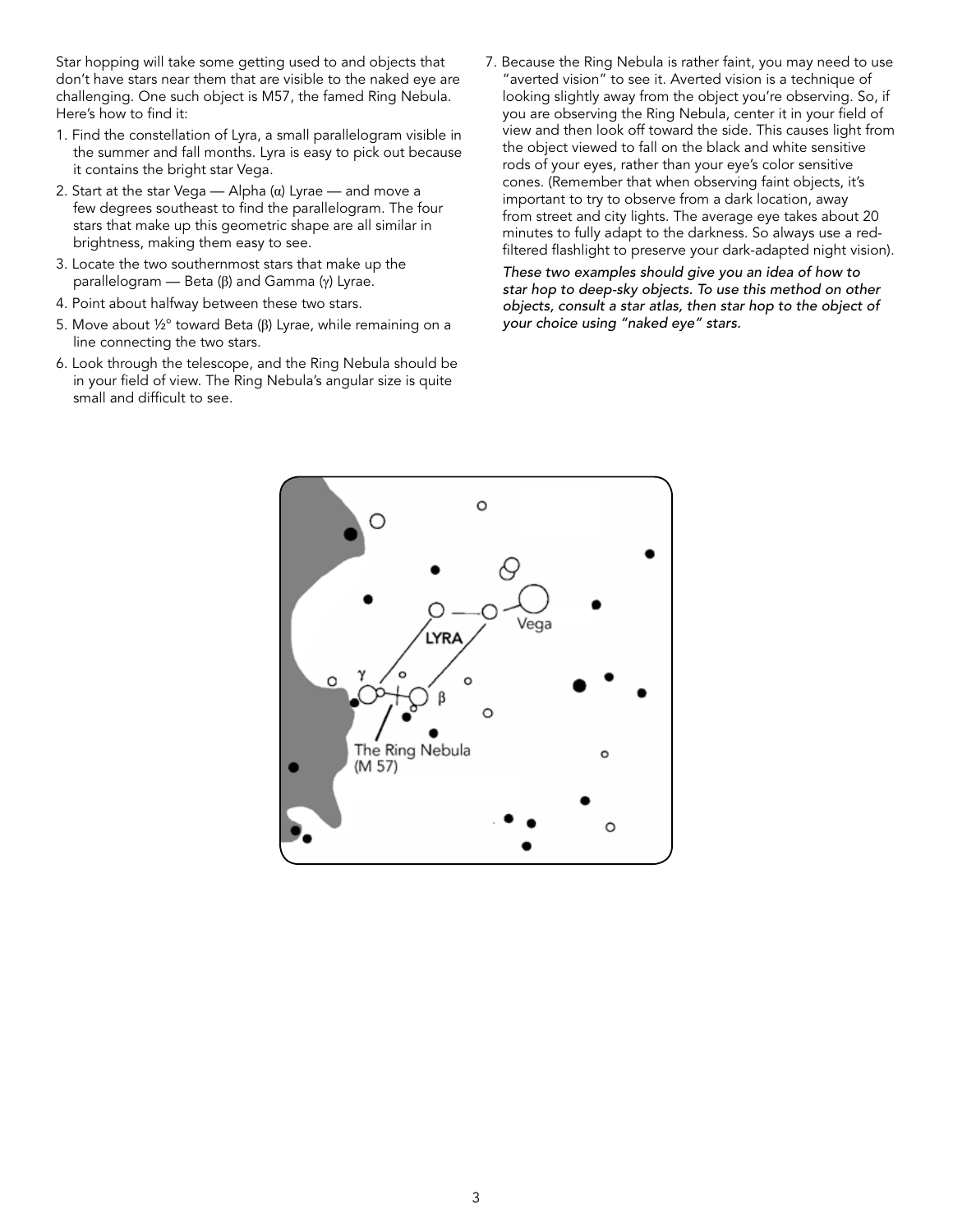Star hopping will take some getting used to and objects that don't have stars near them that are visible to the naked eye are challenging. One such object is M57, the famed Ring Nebula. Here's how to find it:

- 1. Find the constellation of Lyra, a small parallelogram visible in the summer and fall months. Lyra is easy to pick out because it contains the bright star Vega.
- 2. Start at the star Vega Alpha ( $\alpha$ ) Lyrae and move a few degrees southeast to find the parallelogram. The four stars that make up this geometric shape are all similar in brightness, making them easy to see.
- 3. Locate the two southernmost stars that make up the parallelogram — Beta (β) and Gamma (γ) Lyrae.
- 4. Point about halfway between these two stars.
- 5. Move about ½° toward Beta (β) Lyrae, while remaining on a line connecting the two stars.
- 6. Look through the telescope, and the Ring Nebula should be in your field of view. The Ring Nebula's angular size is quite small and difficult to see.
- 7. Because the Ring Nebula is rather faint, you may need to use "averted vision" to see it. Averted vision is a technique of looking slightly away from the object you're observing. So, if you are observing the Ring Nebula, center it in your field of view and then look off toward the side. This causes light from the object viewed to fall on the black and white sensitive rods of your eyes, rather than your eye's color sensitive cones. (Remember that when observing faint objects, it's important to try to observe from a dark location, away from street and city lights. The average eye takes about 20 minutes to fully adapt to the darkness. So always use a redfiltered flashlight to preserve your dark-adapted night vision).

*These two examples should give you an idea of how to star hop to deep-sky objects. To use this method on other objects, consult a star atlas, then star hop to the object of your choice using "naked eye" stars.*

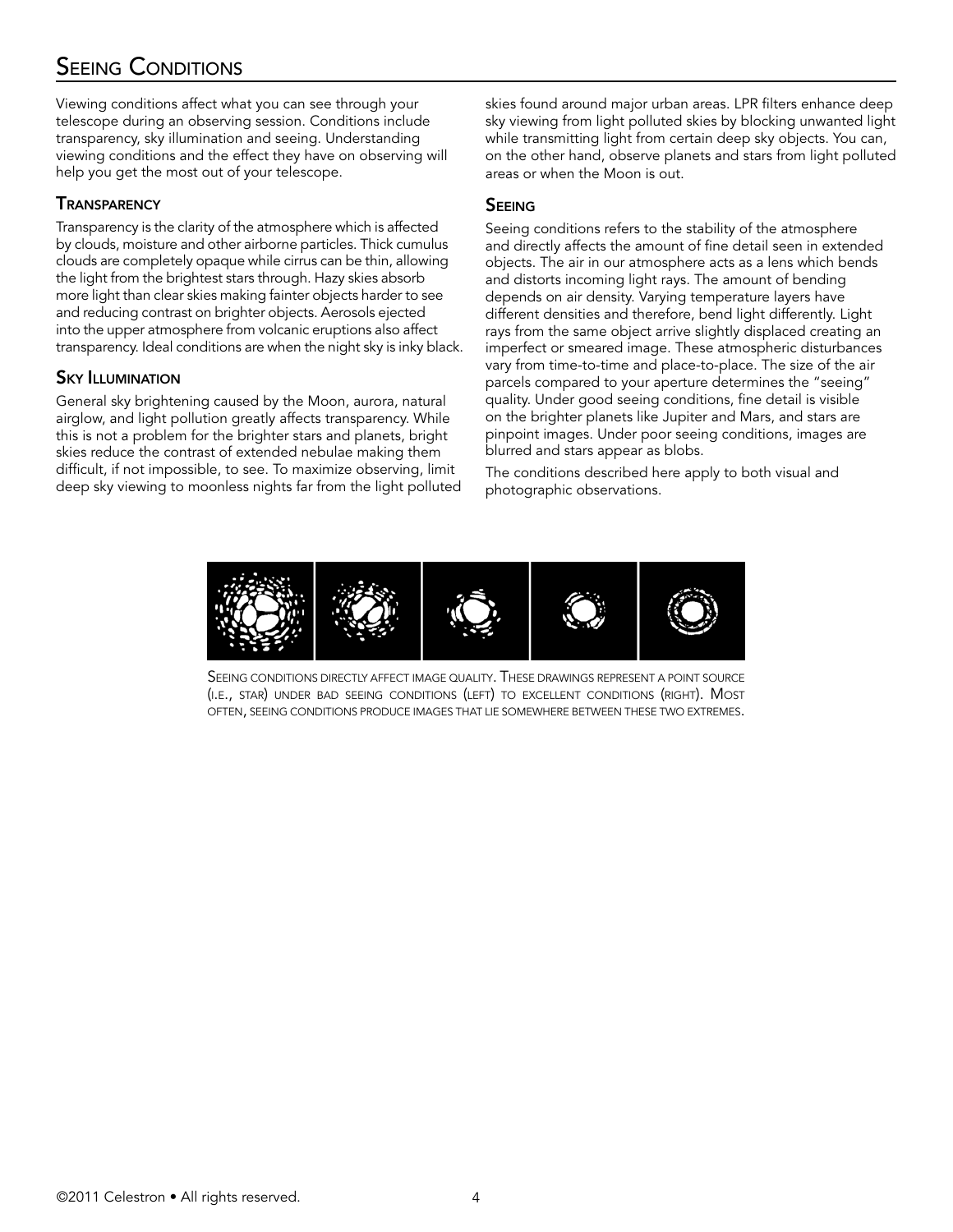## SEEING CONDITIONS

Viewing conditions affect what you can see through your telescope during an observing session. Conditions include transparency, sky illumination and seeing. Understanding viewing conditions and the effect they have on observing will help you get the most out of your telescope.

#### **TRANSPARENCY**

Transparency is the clarity of the atmosphere which is affected by clouds, moisture and other airborne particles. Thick cumulus clouds are completely opaque while cirrus can be thin, allowing the light from the brightest stars through. Hazy skies absorb more light than clear skies making fainter objects harder to see and reducing contrast on brighter objects. Aerosols ejected into the upper atmosphere from volcanic eruptions also affect transparency. Ideal conditions are when the night sky is inky black.

#### **SKY ILLUMINATION**

General sky brightening caused by the Moon, aurora, natural airglow, and light pollution greatly affects transparency. While this is not a problem for the brighter stars and planets, bright skies reduce the contrast of extended nebulae making them difficult, if not impossible, to see. To maximize observing, limit deep sky viewing to moonless nights far from the light polluted skies found around major urban areas. LPR filters enhance deep sky viewing from light polluted skies by blocking unwanted light while transmitting light from certain deep sky objects. You can, on the other hand, observe planets and stars from light polluted areas or when the Moon is out.

#### **SEEING**

Seeing conditions refers to the stability of the atmosphere and directly affects the amount of fine detail seen in extended objects. The air in our atmosphere acts as a lens which bends and distorts incoming light rays. The amount of bending depends on air density. Varying temperature layers have different densities and therefore, bend light differently. Light rays from the same object arrive slightly displaced creating an imperfect or smeared image. These atmospheric disturbances vary from time-to-time and place-to-place. The size of the air parcels compared to your aperture determines the "seeing" quality. Under good seeing conditions, fine detail is visible on the brighter planets like Jupiter and Mars, and stars are pinpoint images. Under poor seeing conditions, images are blurred and stars appear as blobs.

The conditions described here apply to both visual and photographic observations.



SEEING CONDITIONS DIRECTLY AFFECT IMAGE QUALITY. THESE DRAWINGS REPRESENT A POINT SOURCE (i.e., star) under bad seeing conditions (left) to excellent conditions (right). Most often, seeing conditions produce images that lie somewhere between these two extremes.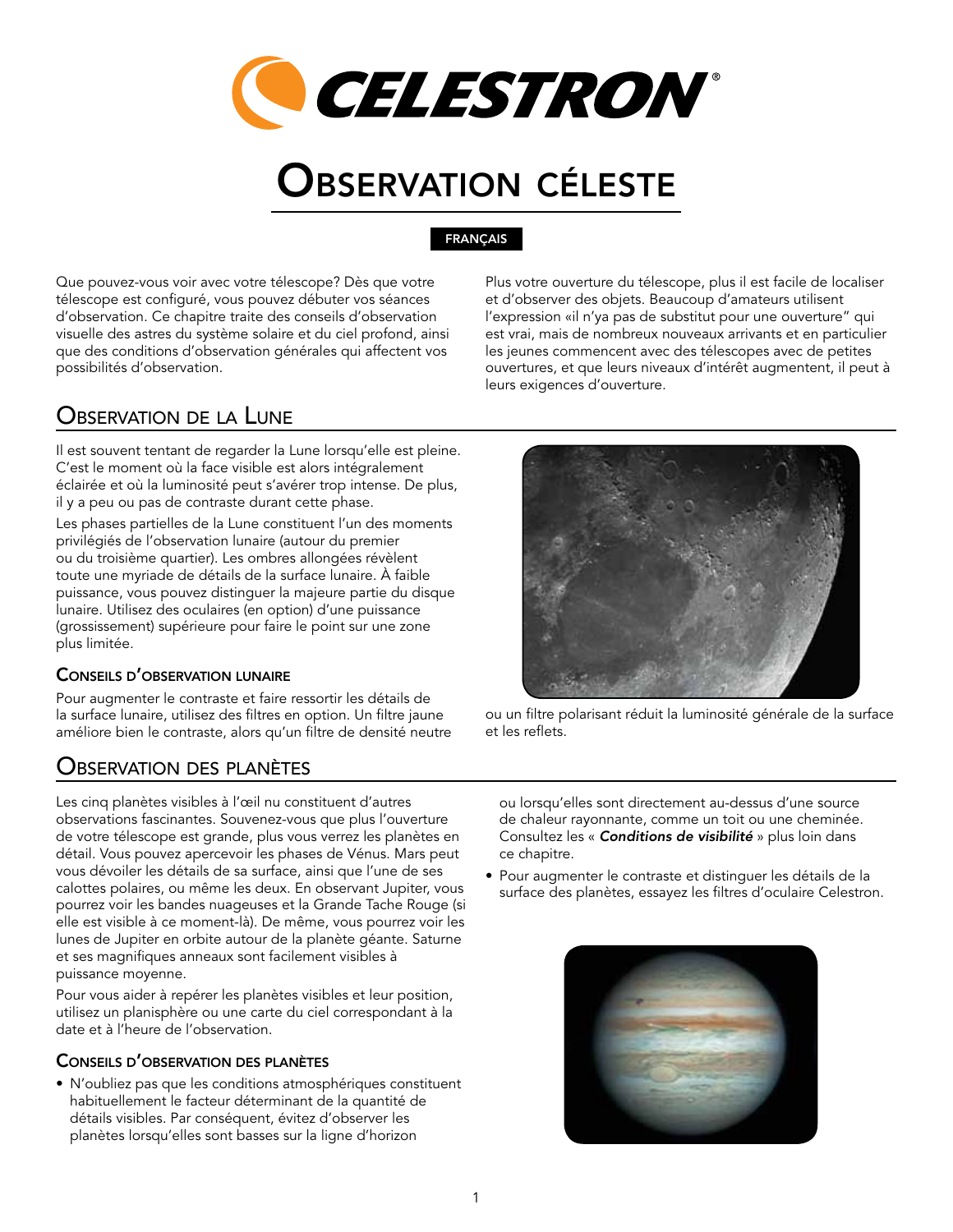

# Observation céleste

#### FRANÇAIS

Que pouvez-vous voir avec votre télescope? Dès que votre télescope est configuré, vous pouvez débuter vos séances d'observation. Ce chapitre traite des conseils d'observation visuelle des astres du système solaire et du ciel profond, ainsi que des conditions d'observation générales qui affectent vos possibilités d'observation.

## Observation de la Lune

Il est souvent tentant de regarder la Lune lorsqu'elle est pleine. C'est le moment où la face visible est alors intégralement éclairée et où la luminosité peut s'avérer trop intense. De plus, il y a peu ou pas de contraste durant cette phase.

Les phases partielles de la Lune constituent l'un des moments privilégiés de l'observation lunaire (autour du premier ou du troisième quartier). Les ombres allongées révèlent toute une myriade de détails de la surface lunaire. À faible puissance, vous pouvez distinguer la majeure partie du disque lunaire. Utilisez des oculaires (en option) d'une puissance (grossissement) supérieure pour faire le point sur une zone plus limitée.

#### Conseils d'observation lunaire

Pour augmenter le contraste et faire ressortir les détails de la surface lunaire, utilisez des filtres en option. Un filtre jaune améliore bien le contraste, alors qu'un filtre de densité neutre

### Observation des planètes

Les cinq planètes visibles à l'œil nu constituent d'autres observations fascinantes. Souvenez-vous que plus l'ouverture de votre télescope est grande, plus vous verrez les planètes en détail. Vous pouvez apercevoir les phases de Vénus. Mars peut vous dévoiler les détails de sa surface, ainsi que l'une de ses calottes polaires, ou même les deux. En observant Jupiter, vous pourrez voir les bandes nuageuses et la Grande Tache Rouge (si elle est visible à ce moment-là). De même, vous pourrez voir les lunes de Jupiter en orbite autour de la planète géante. Saturne et ses magnifiques anneaux sont facilement visibles à puissance moyenne.

Pour vous aider à repérer les planètes visibles et leur position, utilisez un planisphère ou une carte du ciel correspondant à la date et à l'heure de l'observation.

#### Conseils d'observation des planètes

• N'oubliez pas que les conditions atmosphériques constituent habituellement le facteur déterminant de la quantité de détails visibles. Par conséquent, évitez d'observer les planètes lorsqu'elles sont basses sur la ligne d'horizon

Plus votre ouverture du télescope, plus il est facile de localiser et d'observer des objets. Beaucoup d'amateurs utilisent l'expression «il n'ya pas de substitut pour une ouverture" qui est vrai, mais de nombreux nouveaux arrivants et en particulier les jeunes commencent avec des télescopes avec de petites ouvertures, et que leurs niveaux d'intérêt augmentent, il peut à leurs exigences d'ouverture.



ou un filtre polarisant réduit la luminosité générale de la surface et les reflets.

ou lorsqu'elles sont directement au-dessus d'une source de chaleur rayonnante, comme un toit ou une cheminée. Consultez les « *Conditions de visibilité* » plus loin dans ce chapitre.

• Pour augmenter le contraste et distinguer les détails de la surface des planètes, essayez les filtres d'oculaire Celestron.

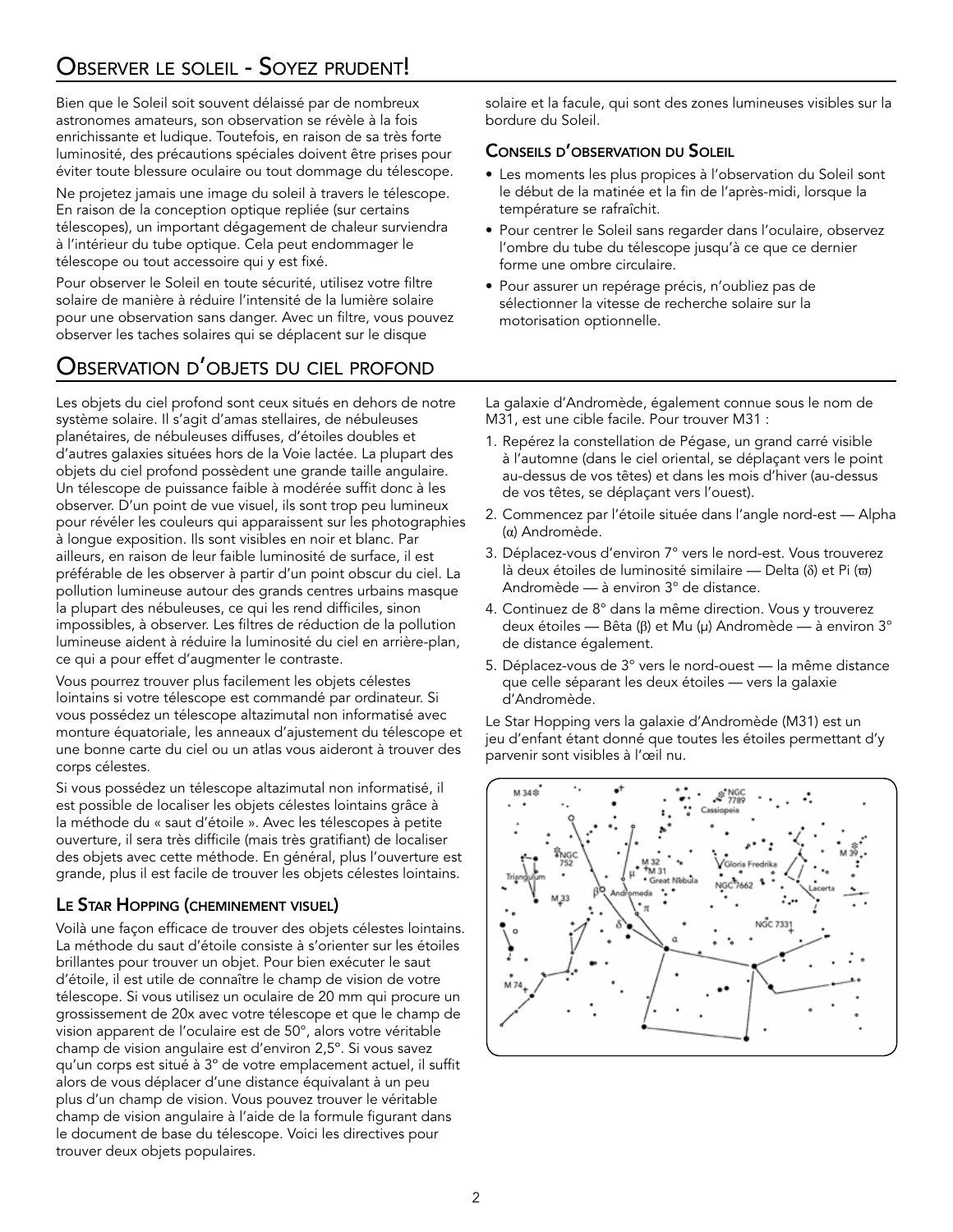Bien que le Soleil soit souvent délaissé par de nombreux astronomes amateurs, son observation se révèle à la fois enrichissante et ludique. Toutefois, en raison de sa très forte luminosité, des précautions spéciales doivent être prises pour éviter toute blessure oculaire ou tout dommage du télescope.

Ne projetez jamais une image du soleil à travers le télescope. En raison de la conception optique repliée (sur certains télescopes), un important dégagement de chaleur surviendra à l'intérieur du tube optique. Cela peut endommager le télescope ou tout accessoire qui y est fixé.

Pour observer le Soleil en toute sécurité, utilisez votre filtre solaire de manière à réduire l'intensité de la lumière solaire pour une observation sans danger. Avec un filtre, vous pouvez observer les taches solaires qui se déplacent sur le disque

## Observation d'objets du ciel profond

Les objets du ciel profond sont ceux situés en dehors de notre système solaire. Il s'agit d'amas stellaires, de nébuleuses planétaires, de nébuleuses diffuses, d'étoiles doubles et d'autres galaxies situées hors de la Voie lactée. La plupart des objets du ciel profond possèdent une grande taille angulaire. Un télescope de puissance faible à modérée suffit donc à les observer. D'un point de vue visuel, ils sont trop peu lumineux pour révéler les couleurs qui apparaissent sur les photographies à longue exposition. Ils sont visibles en noir et blanc. Par ailleurs, en raison de leur faible luminosité de surface, il est préférable de les observer à partir d'un point obscur du ciel. La pollution lumineuse autour des grands centres urbains masque la plupart des nébuleuses, ce qui les rend difficiles, sinon impossibles, à observer. Les filtres de réduction de la pollution lumineuse aident à réduire la luminosité du ciel en arrière-plan, ce qui a pour effet d'augmenter le contraste.

Vous pourrez trouver plus facilement les objets célestes lointains si votre télescope est commandé par ordinateur. Si vous possédez un télescope altazimutal non informatisé avec monture équatoriale, les anneaux d'ajustement du télescope et une bonne carte du ciel ou un atlas vous aideront à trouver des corps célestes.

Si vous possédez un télescope altazimutal non informatisé, il est possible de localiser les objets célestes lointains grâce à la méthode du « saut d'étoile ». Avec les télescopes à petite ouverture, il sera très difficile (mais très gratifiant) de localiser des objets avec cette méthode. En général, plus l'ouverture est grande, plus il est facile de trouver les objets célestes lointains.

#### Le Star Hopping (cheminement visuel)

Voilà une façon efficace de trouver des objets célestes lointains. La méthode du saut d'étoile consiste à s'orienter sur les étoiles brillantes pour trouver un objet. Pour bien exécuter le saut d'étoile, il est utile de connaître le champ de vision de votre télescope. Si vous utilisez un oculaire de 20 mm qui procure un grossissement de 20x avec votre télescope et que le champ de vision apparent de l'oculaire est de 50°, alors votre véritable champ de vision angulaire est d'environ 2,5º. Si vous savez qu'un corps est situé à 3º de votre emplacement actuel, il suffit alors de vous déplacer d'une distance équivalant à un peu plus d'un champ de vision. Vous pouvez trouver le véritable champ de vision angulaire à l'aide de la formule figurant dans le document de base du télescope. Voici les directives pour trouver deux objets populaires.

solaire et la facule, qui sont des zones lumineuses visibles sur la bordure du Soleil.

#### Conseils d'observation du Soleil

- Les moments les plus propices à l'observation du Soleil sont le début de la matinée et la fin de l'après-midi, lorsque la température se rafraîchit.
- Pour centrer le Soleil sans regarder dans l'oculaire, observez l'ombre du tube du télescope jusqu'à ce que ce dernier forme une ombre circulaire.
- Pour assurer un repérage précis, n'oubliez pas de sélectionner la vitesse de recherche solaire sur la motorisation optionnelle.

La galaxie d'Andromède, également connue sous le nom de M31, est une cible facile. Pour trouver M31 :

- 1. Repérez la constellation de Pégase, un grand carré visible à l'automne (dans le ciel oriental, se déplaçant vers le point au-dessus de vos têtes) et dans les mois d'hiver (au-dessus de vos têtes, se déplaçant vers l'ouest).
- 2. Commencez par l'étoile située dans l'angle nord-est Alpha (α) Andromède.
- 3. Déplacez-vous d'environ 7° vers le nord-est. Vous trouverez là deux étoiles de luminosité similaire — Delta (δ) et Pi ( $\varpi$ ) Andromède — à environ 3° de distance.
- 4. Continuez de 8° dans la même direction. Vous y trouverez deux étoiles — Bêta (β) et Mu (μ) Andromède — à environ 3° de distance également.
- 5. Déplacez-vous de 3° vers le nord-ouest la même distance que celle séparant les deux étoiles — vers la galaxie d'Andromède.

Le Star Hopping vers la galaxie d'Andromède (M31) est un jeu d'enfant étant donné que toutes les étoiles permettant d'y parvenir sont visibles à l'œil nu.

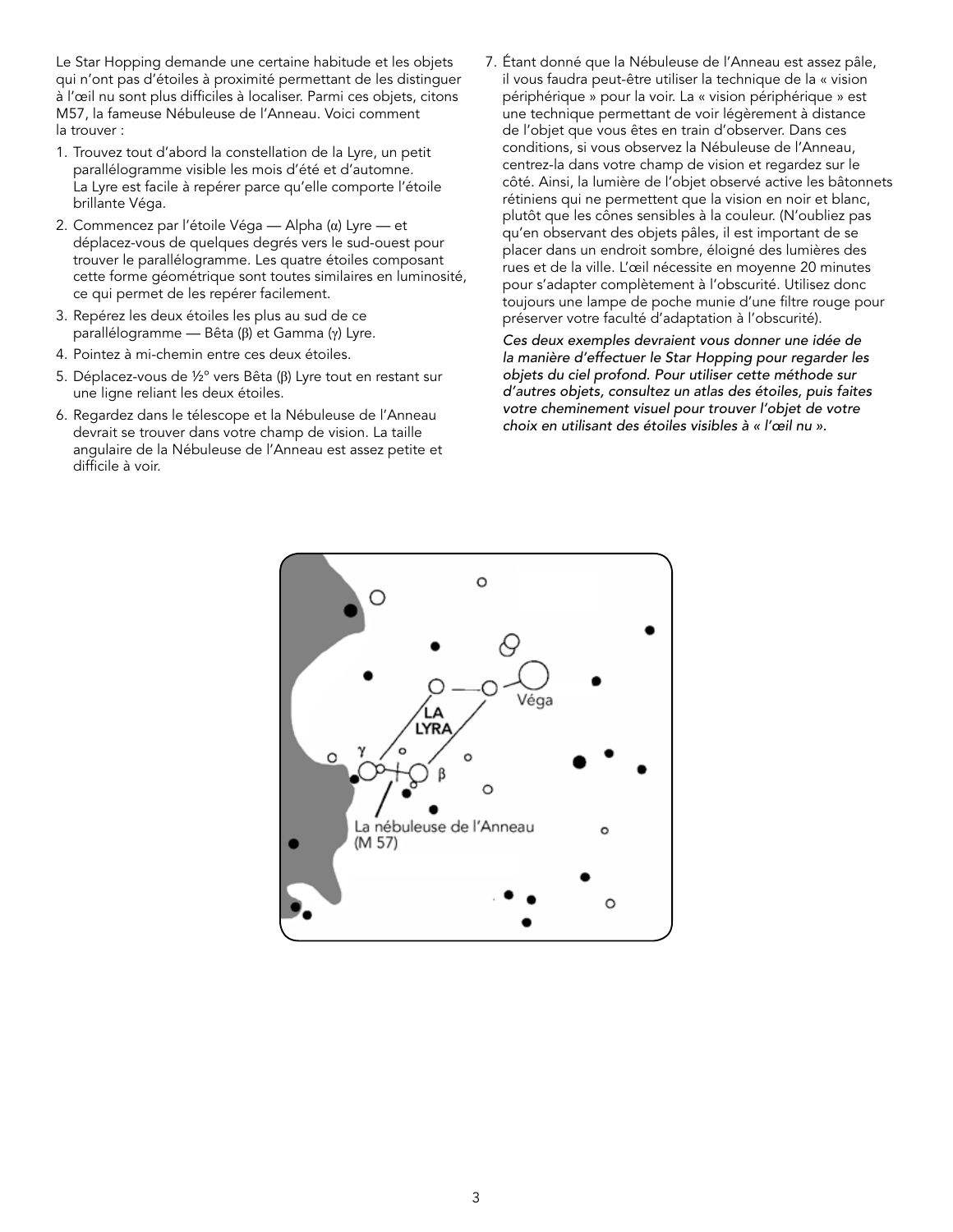Le Star Hopping demande une certaine habitude et les objets qui n'ont pas d'étoiles à proximité permettant de les distinguer à l'œil nu sont plus difficiles à localiser. Parmi ces objets, citons M57, la fameuse Nébuleuse de l'Anneau. Voici comment la trouver :

- 1. Trouvez tout d'abord la constellation de la Lyre, un petit parallélogramme visible les mois d'été et d'automne. La Lyre est facile à repérer parce qu'elle comporte l'étoile brillante Véga.
- 2. Commencez par l'étoile Véga Alpha (α) Lyre et déplacez-vous de quelques degrés vers le sud-ouest pour trouver le parallélogramme. Les quatre étoiles composant cette forme géométrique sont toutes similaires en luminosité, ce qui permet de les repérer facilement.
- 3. Repérez les deux étoiles les plus au sud de ce parallélogramme — Bêta (β) et Gamma (γ) Lyre.
- 4. Pointez à mi-chemin entre ces deux étoiles.
- 5. Déplacez-vous de ½° vers Bêta (β) Lyre tout en restant sur une ligne reliant les deux étoiles.
- 6. Regardez dans le télescope et la Nébuleuse de l'Anneau devrait se trouver dans votre champ de vision. La taille angulaire de la Nébuleuse de l'Anneau est assez petite et difficile à voir.
- 7. Étant donné que la Nébuleuse de l'Anneau est assez pâle, il vous faudra peut-être utiliser la technique de la « vision périphérique » pour la voir. La « vision périphérique » est une technique permettant de voir légèrement à distance de l'objet que vous êtes en train d'observer. Dans ces conditions, si vous observez la Nébuleuse de l'Anneau, centrez-la dans votre champ de vision et regardez sur le côté. Ainsi, la lumière de l'objet observé active les bâtonnets rétiniens qui ne permettent que la vision en noir et blanc, plutôt que les cônes sensibles à la couleur. (N'oubliez pas qu'en observant des objets pâles, il est important de se placer dans un endroit sombre, éloigné des lumières des rues et de la ville. L'œil nécessite en moyenne 20 minutes pour s'adapter complètement à l'obscurité. Utilisez donc toujours une lampe de poche munie d'une filtre rouge pour préserver votre faculté d'adaptation à l'obscurité).

*Ces deux exemples devraient vous donner une idée de la manière d'effectuer le Star Hopping pour regarder les objets du ciel profond. Pour utiliser cette méthode sur d'autres objets, consultez un atlas des étoiles, puis faites votre cheminement visuel pour trouver l'objet de votre choix en utilisant des étoiles visibles à « l'œil nu ».*

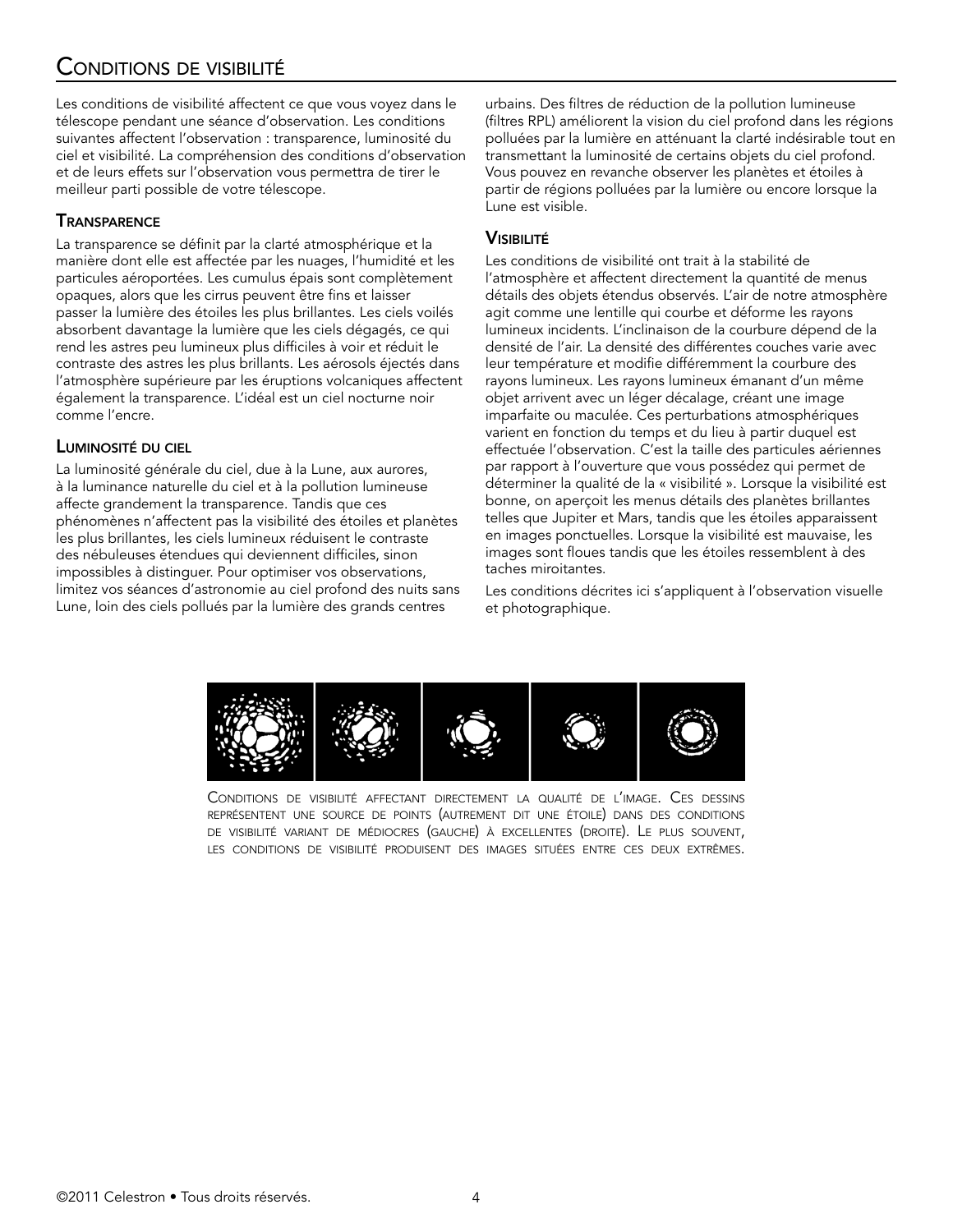## Conditions de visibilité

Les conditions de visibilité affectent ce que vous voyez dans le télescope pendant une séance d'observation. Les conditions suivantes affectent l'observation : transparence, luminosité du ciel et visibilité. La compréhension des conditions d'observation et de leurs effets sur l'observation vous permettra de tirer le meilleur parti possible de votre télescope.

#### **TRANSPARENCE**

La transparence se définit par la clarté atmosphérique et la manière dont elle est affectée par les nuages, l'humidité et les particules aéroportées. Les cumulus épais sont complètement opaques, alors que les cirrus peuvent être fins et laisser passer la lumière des étoiles les plus brillantes. Les ciels voilés absorbent davantage la lumière que les ciels dégagés, ce qui rend les astres peu lumineux plus difficiles à voir et réduit le contraste des astres les plus brillants. Les aérosols éjectés dans l'atmosphère supérieure par les éruptions volcaniques affectent également la transparence. L'idéal est un ciel nocturne noir comme l'encre.

#### Luminosité du ciel

La luminosité générale du ciel, due à la Lune, aux aurores, à la luminance naturelle du ciel et à la pollution lumineuse affecte grandement la transparence. Tandis que ces phénomènes n'affectent pas la visibilité des étoiles et planètes les plus brillantes, les ciels lumineux réduisent le contraste des nébuleuses étendues qui deviennent difficiles, sinon impossibles à distinguer. Pour optimiser vos observations, limitez vos séances d'astronomie au ciel profond des nuits sans Lune, loin des ciels pollués par la lumière des grands centres

urbains. Des filtres de réduction de la pollution lumineuse (filtres RPL) améliorent la vision du ciel profond dans les régions polluées par la lumière en atténuant la clarté indésirable tout en transmettant la luminosité de certains objets du ciel profond. Vous pouvez en revanche observer les planètes et étoiles à partir de régions polluées par la lumière ou encore lorsque la Lune est visible.

#### **VISIBILITÉ**

Les conditions de visibilité ont trait à la stabilité de l'atmosphère et affectent directement la quantité de menus détails des objets étendus observés. L'air de notre atmosphère agit comme une lentille qui courbe et déforme les rayons lumineux incidents. L'inclinaison de la courbure dépend de la densité de l'air. La densité des différentes couches varie avec leur température et modifie différemment la courbure des rayons lumineux. Les rayons lumineux émanant d'un même objet arrivent avec un léger décalage, créant une image imparfaite ou maculée. Ces perturbations atmosphériques varient en fonction du temps et du lieu à partir duquel est effectuée l'observation. C'est la taille des particules aériennes par rapport à l'ouverture que vous possédez qui permet de déterminer la qualité de la « visibilité ». Lorsque la visibilité est bonne, on aperçoit les menus détails des planètes brillantes telles que Jupiter et Mars, tandis que les étoiles apparaissent en images ponctuelles. Lorsque la visibilité est mauvaise, les images sont floues tandis que les étoiles ressemblent à des taches miroitantes.

Les conditions décrites ici s'appliquent à l'observation visuelle et photographique.



Conditions de visibilité affectant directement la qualité de l'image. Ces dessins représentent une source de points (autrement dit une étoile) dans des conditions de visibilité variant de médiocres (gauche) à excellentes (droite). Le plus souvent, les conditions de visibilité produisent des images situées entre ces deux extrêmes.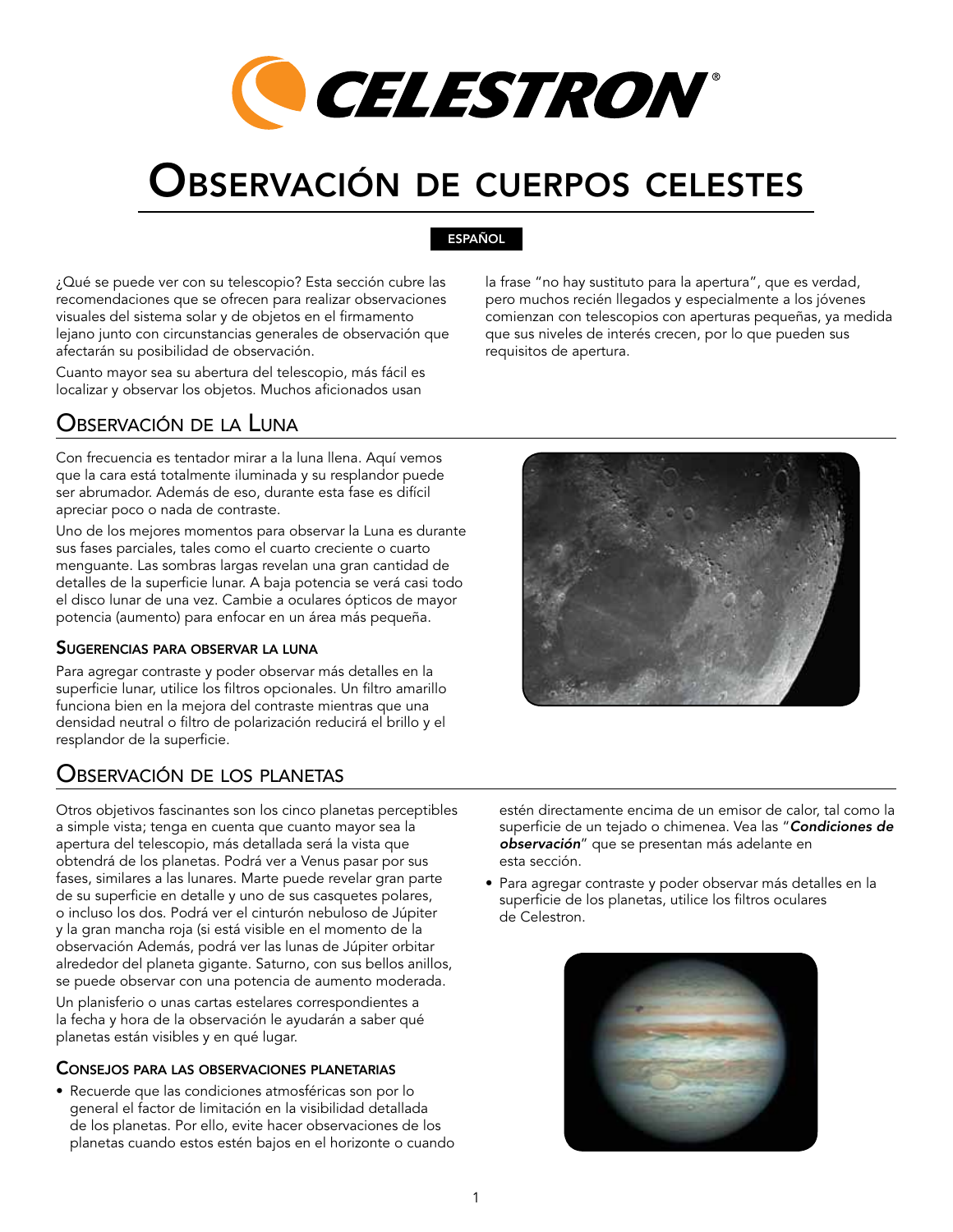

# Observación de cuerpos celestes

#### ESPAÑOL

¿Qué se puede ver con su telescopio? Esta sección cubre las recomendaciones que se ofrecen para realizar observaciones visuales del sistema solar y de objetos en el firmamento lejano junto con circunstancias generales de observación que afectarán su posibilidad de observación.

Cuanto mayor sea su abertura del telescopio, más fácil es localizar y observar los objetos. Muchos aficionados usan

## Observación de la Luna

Con frecuencia es tentador mirar a la luna llena. Aquí vemos que la cara está totalmente iluminada y su resplandor puede ser abrumador. Además de eso, durante esta fase es difícil apreciar poco o nada de contraste.

Uno de los mejores momentos para observar la Luna es durante sus fases parciales, tales como el cuarto creciente o cuarto menguante. Las sombras largas revelan una gran cantidad de detalles de la superficie lunar. A baja potencia se verá casi todo el disco lunar de una vez. Cambie a oculares ópticos de mayor potencia (aumento) para enfocar en un área más pequeña.

#### Sugerencias para observar la luna

Para agregar contraste y poder observar más detalles en la superficie lunar, utilice los filtros opcionales. Un filtro amarillo funciona bien en la mejora del contraste mientras que una densidad neutral o filtro de polarización reducirá el brillo y el resplandor de la superficie.

### Observación de los planetas

Otros objetivos fascinantes son los cinco planetas perceptibles a simple vista; tenga en cuenta que cuanto mayor sea la apertura del telescopio, más detallada será la vista que obtendrá de los planetas. Podrá ver a Venus pasar por sus fases, similares a las lunares. Marte puede revelar gran parte de su superficie en detalle y uno de sus casquetes polares, o incluso los dos. Podrá ver el cinturón nebuloso de Júpiter y la gran mancha roja (si está visible en el momento de la observación Además, podrá ver las lunas de Júpiter orbitar alrededor del planeta gigante. Saturno, con sus bellos anillos, se puede observar con una potencia de aumento moderada.

Un planisferio o unas cartas estelares correspondientes a la fecha y hora de la observación le ayudarán a saber qué planetas están visibles y en qué lugar.

#### Consejos para las observaciones planetarias

• Recuerde que las condiciones atmosféricas son por lo general el factor de limitación en la visibilidad detallada de los planetas. Por ello, evite hacer observaciones de los planetas cuando estos estén bajos en el horizonte o cuando la frase "no hay sustituto para la apertura", que es verdad, pero muchos recién llegados y especialmente a los jóvenes comienzan con telescopios con aperturas pequeñas, ya medida que sus niveles de interés crecen, por lo que pueden sus requisitos de apertura.



estén directamente encima de un emisor de calor, tal como la superficie de un tejado o chimenea. Vea las "*Condiciones de observación*" que se presentan más adelante en esta sección.

• Para agregar contraste y poder observar más detalles en la superficie de los planetas, utilice los filtros oculares de Celestron.

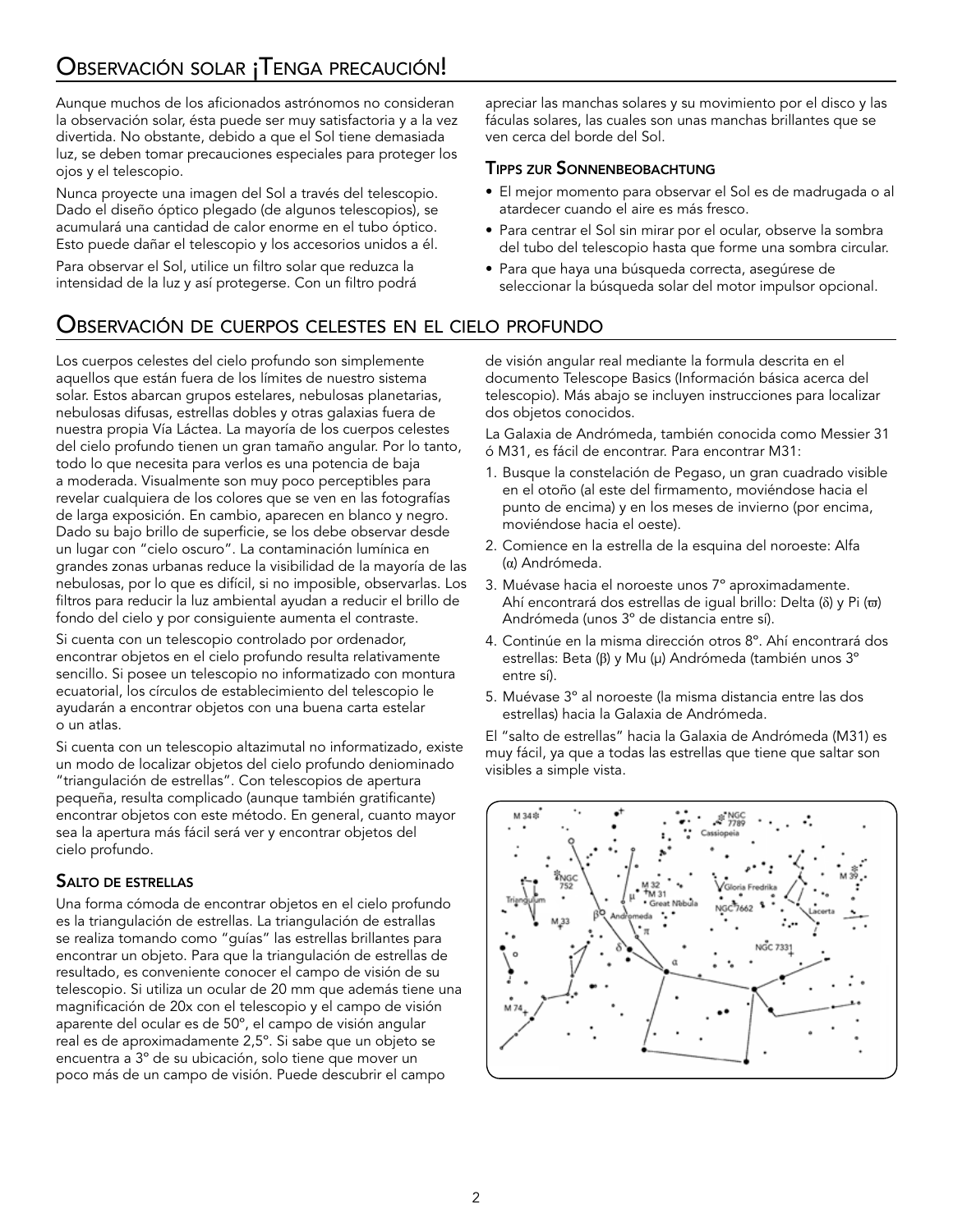Aunque muchos de los aficionados astrónomos no consideran la observación solar, ésta puede ser muy satisfactoria y a la vez divertida. No obstante, debido a que el Sol tiene demasiada luz, se deben tomar precauciones especiales para proteger los ojos y el telescopio.

Nunca proyecte una imagen del Sol a través del telescopio. Dado el diseño óptico plegado (de algunos telescopios), se acumulará una cantidad de calor enorme en el tubo óptico. Esto puede dañar el telescopio y los accesorios unidos a él.

Para observar el Sol, utilice un filtro solar que reduzca la intensidad de la luz y así protegerse. Con un filtro podrá

Observación de cuerpos celestes en el cielo profundo

Los cuerpos celestes del cielo profundo son simplemente aquellos que están fuera de los límites de nuestro sistema solar. Estos abarcan grupos estelares, nebulosas planetarias, nebulosas difusas, estrellas dobles y otras galaxias fuera de nuestra propia Vía Láctea. La mayoría de los cuerpos celestes del cielo profundo tienen un gran tamaño angular. Por lo tanto, todo lo que necesita para verlos es una potencia de baja a moderada. Visualmente son muy poco perceptibles para revelar cualquiera de los colores que se ven en las fotografías de larga exposición. En cambio, aparecen en blanco y negro. Dado su bajo brillo de superficie, se los debe observar desde un lugar con "cielo oscuro". La contaminación lumínica en grandes zonas urbanas reduce la visibilidad de la mayoría de las nebulosas, por lo que es difícil, si no imposible, observarlas. Los filtros para reducir la luz ambiental ayudan a reducir el brillo de fondo del cielo y por consiguiente aumenta el contraste.

Si cuenta con un telescopio controlado por ordenador, encontrar objetos en el cielo profundo resulta relativamente sencillo. Si posee un telescopio no informatizado con montura ecuatorial, los círculos de establecimiento del telescopio le ayudarán a encontrar objetos con una buena carta estelar o un atlas.

Si cuenta con un telescopio altazimutal no informatizado, existe un modo de localizar objetos del cielo profundo deniominado "triangulación de estrellas". Con telescopios de apertura pequeña, resulta complicado (aunque también gratificante) encontrar objetos con este método. En general, cuanto mayor sea la apertura más fácil será ver y encontrar objetos del cielo profundo.

#### Salto de estrellas

Una forma cómoda de encontrar objetos en el cielo profundo es la triangulación de estrellas. La triangulación de estrallas se realiza tomando como "guías" las estrellas brillantes para encontrar un objeto. Para que la triangulación de estrellas de resultado, es conveniente conocer el campo de visión de su telescopio. Si utiliza un ocular de 20 mm que además tiene una magnificación de 20x con el telescopio y el campo de visión aparente del ocular es de 50º, el campo de visión angular real es de aproximadamente 2,5º. Si sabe que un objeto se encuentra a 3º de su ubicación, solo tiene que mover un poco más de un campo de visión. Puede descubrir el campo

apreciar las manchas solares y su movimiento por el disco y las fáculas solares, las cuales son unas manchas brillantes que se ven cerca del borde del Sol.

#### Tipps zur Sonnenbeobachtung

- El mejor momento para observar el Sol es de madrugada o al atardecer cuando el aire es más fresco.
- Para centrar el Sol sin mirar por el ocular, observe la sombra del tubo del telescopio hasta que forme una sombra circular.
- Para que haya una búsqueda correcta, asegúrese de seleccionar la búsqueda solar del motor impulsor opcional.

de visión angular real mediante la formula descrita en el documento Telescope Basics (Información básica acerca del telescopio). Más abajo se incluyen instrucciones para localizar dos objetos conocidos.

La Galaxia de Andrómeda, también conocida como Messier 31 ó M31, es fácil de encontrar. Para encontrar M31:

- 1. Busque la constelación de Pegaso, un gran cuadrado visible en el otoño (al este del firmamento, moviéndose hacia el punto de encima) y en los meses de invierno (por encima, moviéndose hacia el oeste).
- 2. Comience en la estrella de la esquina del noroeste: Alfa (α) Andrómeda.
- 3. Muévase hacia el noroeste unos 7º aproximadamente. Ahí encontrará dos estrellas de igual brillo: Delta (δ) y Pi ( $\varpi$ ) Andrómeda (unos 3º de distancia entre sí).
- 4. Continúe en la misma dirección otros 8º. Ahí encontrará dos estrellas: Beta (β) y Mu (μ) Andrómeda (también unos 3º entre sí).
- 5. Muévase 3º al noroeste (la misma distancia entre las dos estrellas) hacia la Galaxia de Andrómeda.

El "salto de estrellas" hacia la Galaxia de Andrómeda (M31) es muy fácil, ya que a todas las estrellas que tiene que saltar son visibles a simple vista.

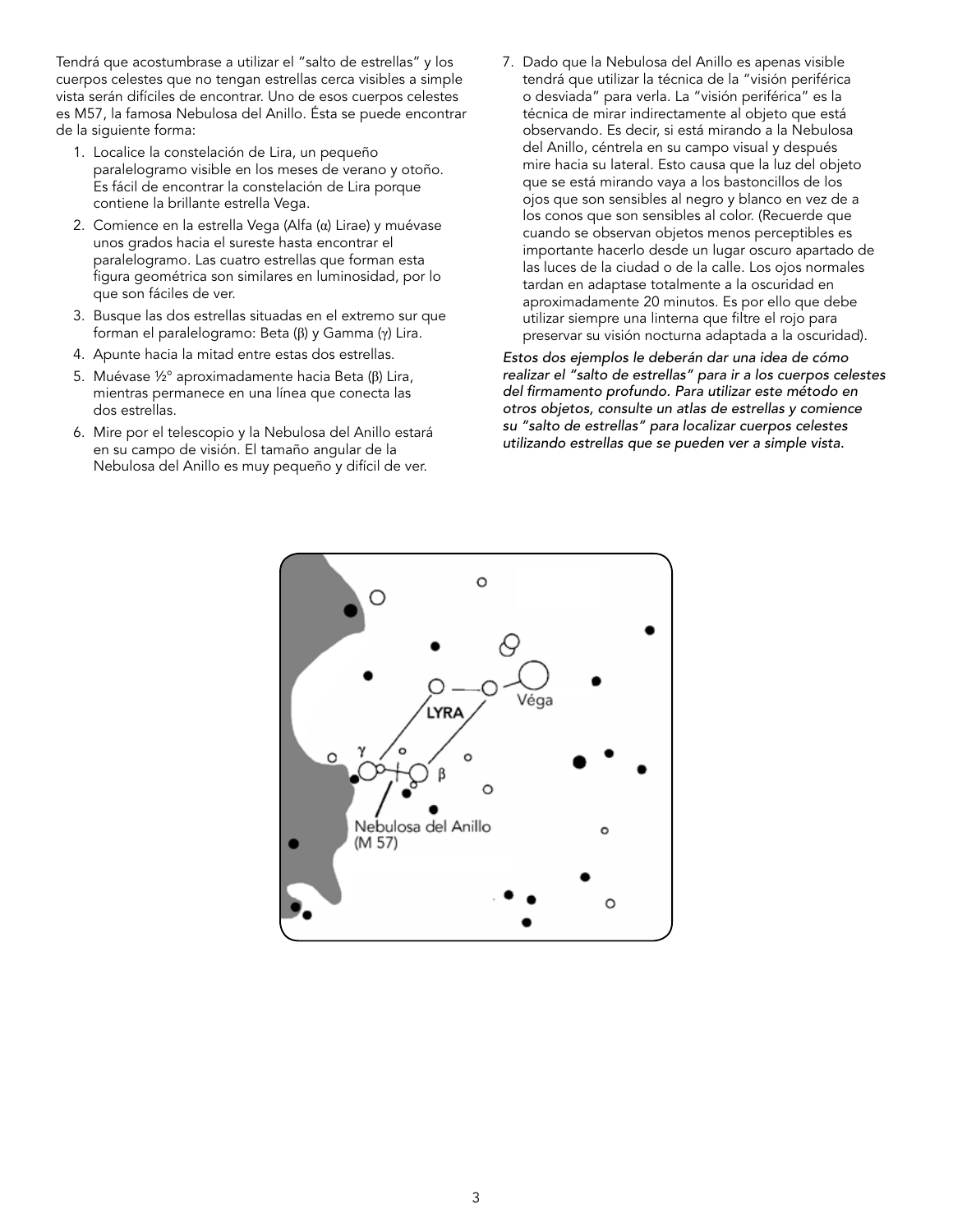Tendrá que acostumbrase a utilizar el "salto de estrellas" y los cuerpos celestes que no tengan estrellas cerca visibles a simple vista serán difíciles de encontrar. Uno de esos cuerpos celestes es M57, la famosa Nebulosa del Anillo. Ésta se puede encontrar de la siguiente forma:

- 1. Localice la constelación de Lira, un pequeño paralelogramo visible en los meses de verano y otoño. Es fácil de encontrar la constelación de Lira porque contiene la brillante estrella Vega.
- 2. Comience en la estrella Vega (Alfa (α) Lirae) y muévase unos grados hacia el sureste hasta encontrar el paralelogramo. Las cuatro estrellas que forman esta figura geométrica son similares en luminosidad, por lo que son fáciles de ver.
- 3. Busque las dos estrellas situadas en el extremo sur que forman el paralelogramo: Beta (β) y Gamma (γ) Lira.
- 4. Apunte hacia la mitad entre estas dos estrellas.
- 5. Muévase ½° aproximadamente hacia Beta (β) Lira, mientras permanece en una línea que conecta las dos estrellas.
- 6. Mire por el telescopio y la Nebulosa del Anillo estará en su campo de visión. El tamaño angular de la Nebulosa del Anillo es muy pequeño y difícil de ver.
- 7. Dado que la Nebulosa del Anillo es apenas visible tendrá que utilizar la técnica de la "visión periférica o desviada" para verla. La "visión periférica" es la técnica de mirar indirectamente al objeto que está observando. Es decir, si está mirando a la Nebulosa del Anillo, céntrela en su campo visual y después mire hacia su lateral. Esto causa que la luz del objeto que se está mirando vaya a los bastoncillos de los ojos que son sensibles al negro y blanco en vez de a los conos que son sensibles al color. (Recuerde que cuando se observan objetos menos perceptibles es importante hacerlo desde un lugar oscuro apartado de las luces de la ciudad o de la calle. Los ojos normales tardan en adaptase totalmente a la oscuridad en aproximadamente 20 minutos. Es por ello que debe utilizar siempre una linterna que filtre el rojo para preservar su visión nocturna adaptada a la oscuridad).

*Estos dos ejemplos le deberán dar una idea de cómo realizar el "salto de estrellas" para ir a los cuerpos celestes del firmamento profundo. Para utilizar este método en otros objetos, consulte un atlas de estrellas y comience su "salto de estrellas" para localizar cuerpos celestes utilizando estrellas que se pueden ver a simple vista.*

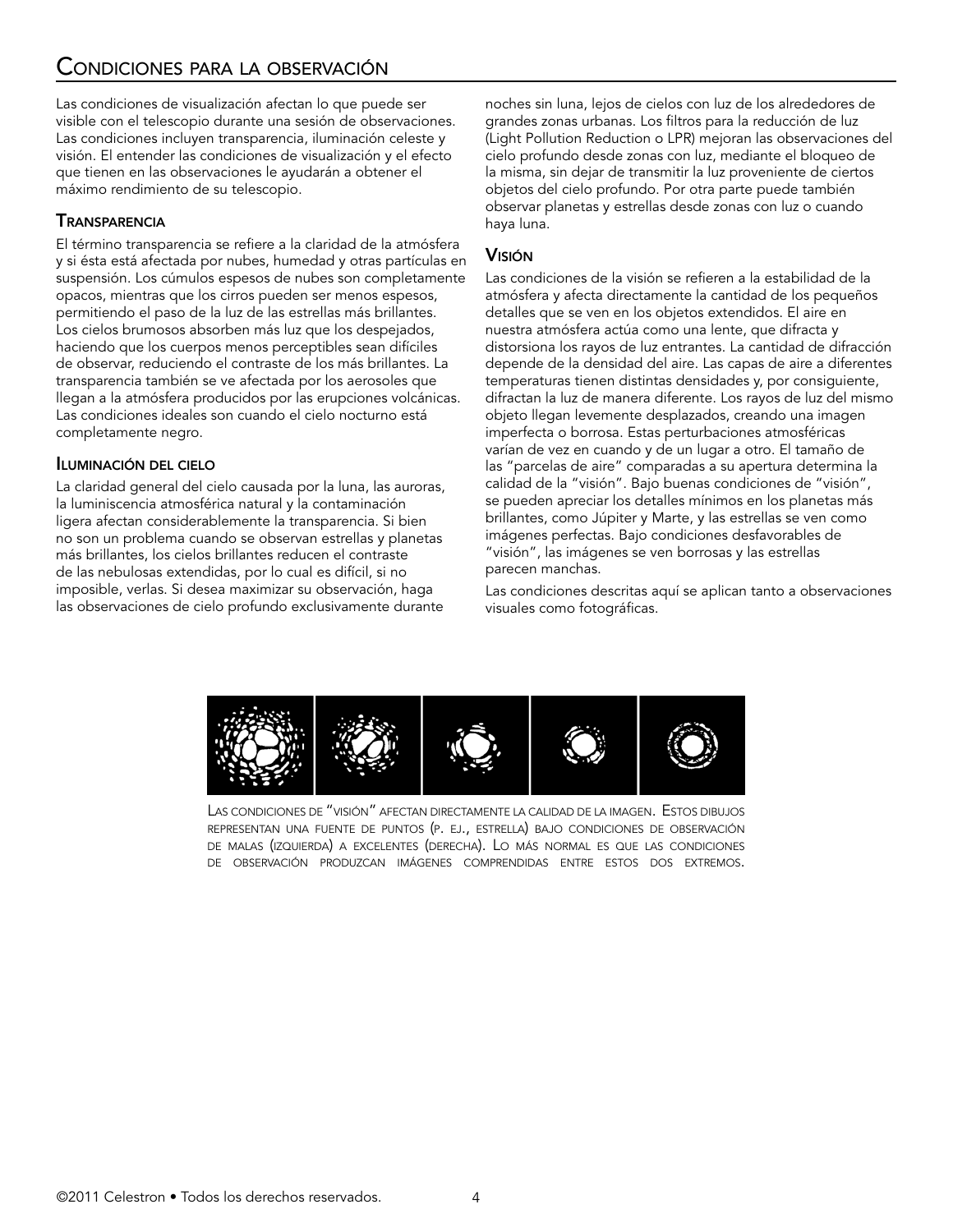## Condiciones para la observación

Las condiciones de visualización afectan lo que puede ser visible con el telescopio durante una sesión de observaciones. Las condiciones incluyen transparencia, iluminación celeste y visión. El entender las condiciones de visualización y el efecto que tienen en las observaciones le ayudarán a obtener el máximo rendimiento de su telescopio.

#### **TRANSPARENCIA**

El término transparencia se refiere a la claridad de la atmósfera y si ésta está afectada por nubes, humedad y otras partículas en suspensión. Los cúmulos espesos de nubes son completamente opacos, mientras que los cirros pueden ser menos espesos, permitiendo el paso de la luz de las estrellas más brillantes. Los cielos brumosos absorben más luz que los despejados, haciendo que los cuerpos menos perceptibles sean difíciles de observar, reduciendo el contraste de los más brillantes. La transparencia también se ve afectada por los aerosoles que llegan a la atmósfera producidos por las erupciones volcánicas. Las condiciones ideales son cuando el cielo nocturno está completamente negro.

#### Iluminación del cielo

La claridad general del cielo causada por la luna, las auroras, la luminiscencia atmosférica natural y la contaminación ligera afectan considerablemente la transparencia. Si bien no son un problema cuando se observan estrellas y planetas más brillantes, los cielos brillantes reducen el contraste de las nebulosas extendidas, por lo cual es difícil, si no imposible, verlas. Si desea maximizar su observación, haga las observaciones de cielo profundo exclusivamente durante

noches sin luna, lejos de cielos con luz de los alrededores de grandes zonas urbanas. Los filtros para la reducción de luz (Light Pollution Reduction o LPR) mejoran las observaciones del cielo profundo desde zonas con luz, mediante el bloqueo de la misma, sin dejar de transmitir la luz proveniente de ciertos objetos del cielo profundo. Por otra parte puede también observar planetas y estrellas desde zonas con luz o cuando haya luna.

#### Visión

Las condiciones de la visión se refieren a la estabilidad de la atmósfera y afecta directamente la cantidad de los pequeños detalles que se ven en los objetos extendidos. El aire en nuestra atmósfera actúa como una lente, que difracta y distorsiona los rayos de luz entrantes. La cantidad de difracción depende de la densidad del aire. Las capas de aire a diferentes temperaturas tienen distintas densidades y, por consiguiente, difractan la luz de manera diferente. Los rayos de luz del mismo objeto llegan levemente desplazados, creando una imagen imperfecta o borrosa. Estas perturbaciones atmosféricas varían de vez en cuando y de un lugar a otro. El tamaño de las "parcelas de aire" comparadas a su apertura determina la calidad de la "visión". Bajo buenas condiciones de "visión", se pueden apreciar los detalles mínimos en los planetas más brillantes, como Júpiter y Marte, y las estrellas se ven como imágenes perfectas. Bajo condiciones desfavorables de "visión", las imágenes se ven borrosas y las estrellas parecen manchas.

Las condiciones descritas aquí se aplican tanto a observaciones visuales como fotográficas.



Las condiciones de "visión" afectan directamente la calidad de la imagen. Estos dibujos representan una fuente de puntos (p. ej., estrella) bajo condiciones de observación de malas (izquierda) a excelentes (derecha). Lo más normal es que las condiciones de observación produzcan imágenes comprendidas entre estos dos extremos.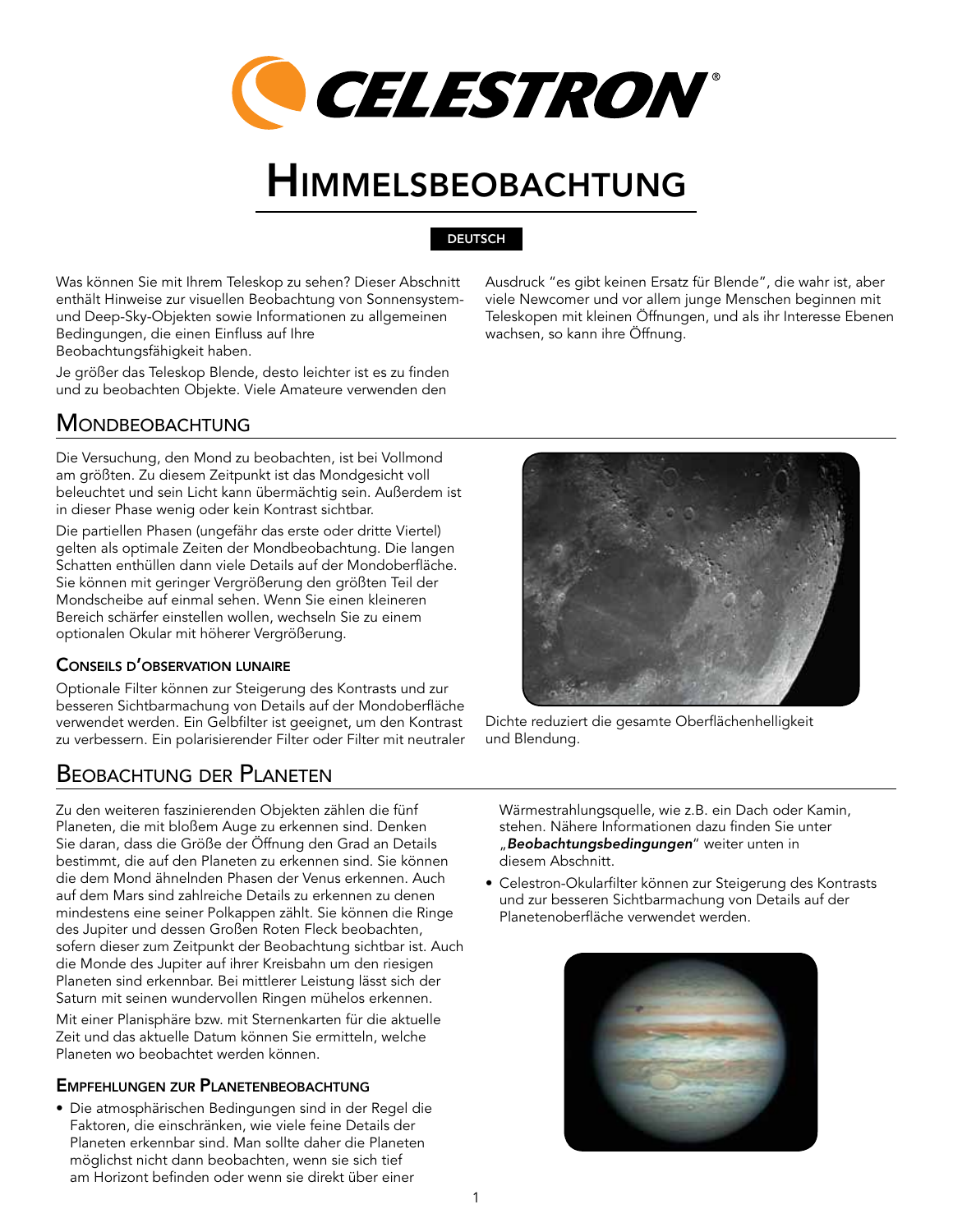

# Himmelsbeobachtung

#### DEUTSCH

Was können Sie mit Ihrem Teleskop zu sehen? Dieser Abschnitt enthält Hinweise zur visuellen Beobachtung von Sonnensystemund Deep-Sky-Objekten sowie Informationen zu allgemeinen Bedingungen, die einen Einfluss auf Ihre Beobachtungsfähigkeit haben.

Je größer das Teleskop Blende, desto leichter ist es zu finden und zu beobachten Objekte. Viele Amateure verwenden den

## **MONDBEOBACHTUNG**

Die Versuchung, den Mond zu beobachten, ist bei Vollmond am größten. Zu diesem Zeitpunkt ist das Mondgesicht voll beleuchtet und sein Licht kann übermächtig sein. Außerdem ist in dieser Phase wenig oder kein Kontrast sichtbar.

Die partiellen Phasen (ungefähr das erste oder dritte Viertel) gelten als optimale Zeiten der Mondbeobachtung. Die langen Schatten enthüllen dann viele Details auf der Mondoberfläche. Sie können mit geringer Vergrößerung den größten Teil der Mondscheibe auf einmal sehen. Wenn Sie einen kleineren Bereich schärfer einstellen wollen, wechseln Sie zu einem optionalen Okular mit höherer Vergrößerung.

#### Conseils d'observation lunaire

Optionale Filter können zur Steigerung des Kontrasts und zur besseren Sichtbarmachung von Details auf der Mondoberfläche verwendet werden. Ein Gelbfilter ist geeignet, um den Kontrast zu verbessern. Ein polarisierender Filter oder Filter mit neutraler

## Beobachtung der Planeten

Zu den weiteren faszinierenden Objekten zählen die fünf Planeten, die mit bloßem Auge zu erkennen sind. Denken Sie daran, dass die Größe der Öffnung den Grad an Details bestimmt, die auf den Planeten zu erkennen sind. Sie können die dem Mond ähnelnden Phasen der Venus erkennen. Auch auf dem Mars sind zahlreiche Details zu erkennen zu denen mindestens eine seiner Polkappen zählt. Sie können die Ringe des Jupiter und dessen Großen Roten Fleck beobachten, sofern dieser zum Zeitpunkt der Beobachtung sichtbar ist. Auch die Monde des Jupiter auf ihrer Kreisbahn um den riesigen Planeten sind erkennbar. Bei mittlerer Leistung lässt sich der Saturn mit seinen wundervollen Ringen mühelos erkennen.

Mit einer Planisphäre bzw. mit Sternenkarten für die aktuelle Zeit und das aktuelle Datum können Sie ermitteln, welche Planeten wo beobachtet werden können.

#### Empfehlungen zur Planetenbeobachtung

• Die atmosphärischen Bedingungen sind in der Regel die Faktoren, die einschränken, wie viele feine Details der Planeten erkennbar sind. Man sollte daher die Planeten möglichst nicht dann beobachten, wenn sie sich tief am Horizont befinden oder wenn sie direkt über einer

Ausdruck "es gibt keinen Ersatz für Blende", die wahr ist, aber viele Newcomer und vor allem junge Menschen beginnen mit Teleskopen mit kleinen Öffnungen, und als ihr Interesse Ebenen wachsen, so kann ihre Öffnung.



Dichte reduziert die gesamte Oberflächenhelligkeit und Blendung.

Wärmestrahlungsquelle, wie z.B. ein Dach oder Kamin, stehen. Nähere Informationen dazu finden Sie unter "*Beobachtungsbedingungen*" weiter unten in diesem Abschnitt.

• Celestron-Okularfilter können zur Steigerung des Kontrasts und zur besseren Sichtbarmachung von Details auf der Planetenoberfläche verwendet werden.

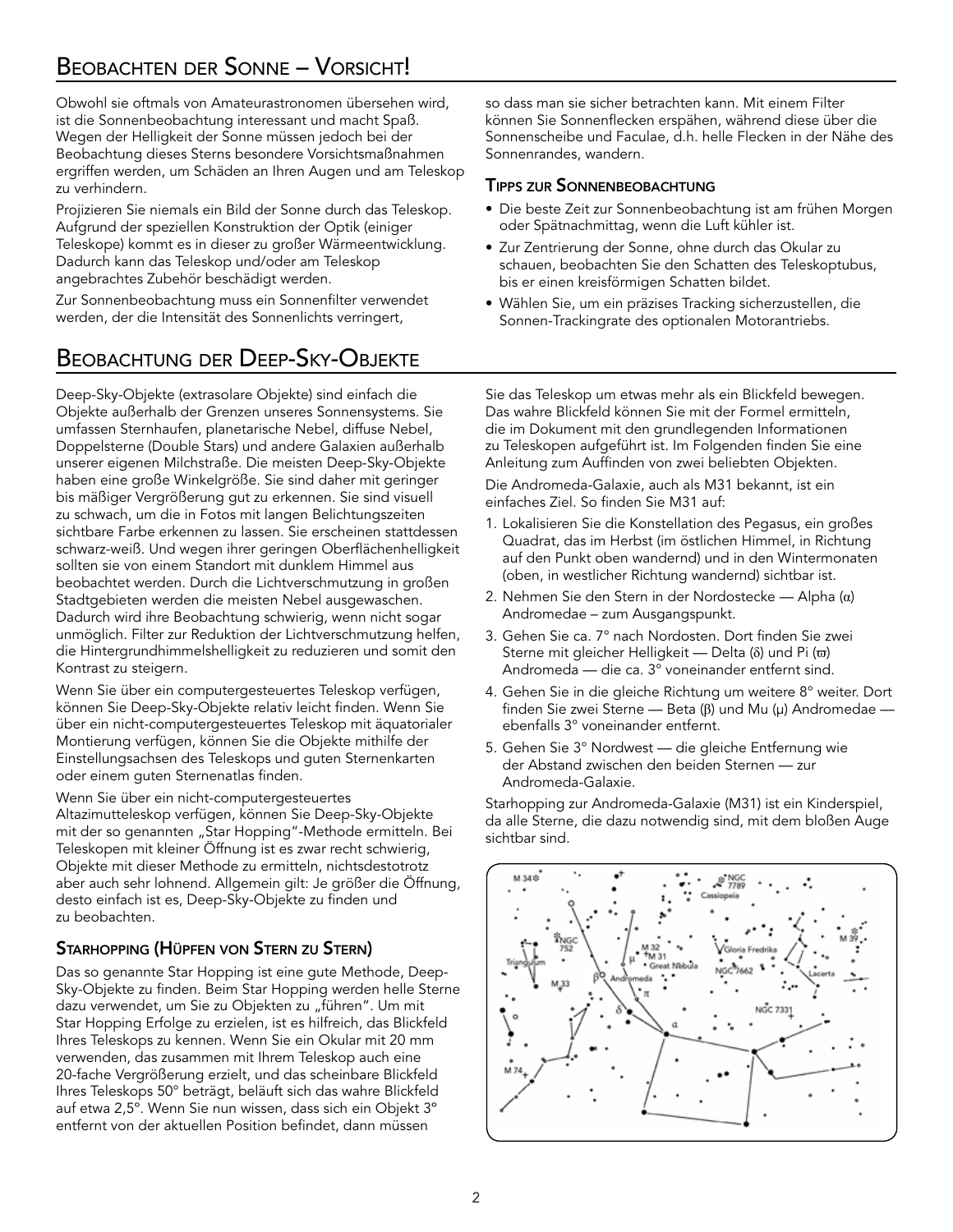Obwohl sie oftmals von Amateurastronomen übersehen wird, ist die Sonnenbeobachtung interessant und macht Spaß. Wegen der Helligkeit der Sonne müssen jedoch bei der Beobachtung dieses Sterns besondere Vorsichtsmaßnahmen ergriffen werden, um Schäden an Ihren Augen und am Teleskop zu verhindern.

Projizieren Sie niemals ein Bild der Sonne durch das Teleskop. Aufgrund der speziellen Konstruktion der Optik (einiger Teleskope) kommt es in dieser zu großer Wärmeentwicklung. Dadurch kann das Teleskop und/oder am Teleskop angebrachtes Zubehör beschädigt werden.

Zur Sonnenbeobachtung muss ein Sonnenfilter verwendet werden, der die Intensität des Sonnenlichts verringert,

## Beobachtung der Deep-Sky-Objekte

Deep-Sky-Objekte (extrasolare Objekte) sind einfach die Objekte außerhalb der Grenzen unseres Sonnensystems. Sie umfassen Sternhaufen, planetarische Nebel, diffuse Nebel, Doppelsterne (Double Stars) und andere Galaxien außerhalb unserer eigenen Milchstraße. Die meisten Deep-Sky-Objekte haben eine große Winkelgröße. Sie sind daher mit geringer bis mäßiger Vergrößerung gut zu erkennen. Sie sind visuell zu schwach, um die in Fotos mit langen Belichtungszeiten sichtbare Farbe erkennen zu lassen. Sie erscheinen stattdessen schwarz-weiß. Und wegen ihrer geringen Oberflächenhelligkeit sollten sie von einem Standort mit dunklem Himmel aus beobachtet werden. Durch die Lichtverschmutzung in großen Stadtgebieten werden die meisten Nebel ausgewaschen. Dadurch wird ihre Beobachtung schwierig, wenn nicht sogar unmöglich. Filter zur Reduktion der Lichtverschmutzung helfen, die Hintergrundhimmelshelligkeit zu reduzieren und somit den Kontrast zu steigern.

Wenn Sie über ein computergesteuertes Teleskop verfügen, können Sie Deep-Sky-Objekte relativ leicht finden. Wenn Sie über ein nicht-computergesteuertes Teleskop mit äquatorialer Montierung verfügen, können Sie die Objekte mithilfe der Einstellungsachsen des Teleskops und guten Sternenkarten oder einem guten Sternenatlas finden.

Wenn Sie über ein nicht-computergesteuertes Altazimutteleskop verfügen, können Sie Deep-Sky-Objekte

mit der so genannten "Star Hopping"-Methode ermitteln. Bei Teleskopen mit kleiner Öffnung ist es zwar recht schwierig, Objekte mit dieser Methode zu ermitteln, nichtsdestotrotz aber auch sehr lohnend. Allgemein gilt: Je größer die Öffnung, desto einfach ist es, Deep-Sky-Objekte zu finden und zu beobachten.

#### Starhopping (Hüpfen von Stern zu Stern)

Das so genannte Star Hopping ist eine gute Methode, Deep-Sky-Objekte zu finden. Beim Star Hopping werden helle Sterne dazu verwendet, um Sie zu Objekten zu "führen". Um mit Star Hopping Erfolge zu erzielen, ist es hilfreich, das Blickfeld Ihres Teleskops zu kennen. Wenn Sie ein Okular mit 20 mm verwenden, das zusammen mit Ihrem Teleskop auch eine 20-fache Vergrößerung erzielt, und das scheinbare Blickfeld Ihres Teleskops 50° beträgt, beläuft sich das wahre Blickfeld auf etwa 2,5º. Wenn Sie nun wissen, dass sich ein Objekt 3º entfernt von der aktuellen Position befindet, dann müssen

so dass man sie sicher betrachten kann. Mit einem Filter können Sie Sonnenflecken erspähen, während diese über die Sonnenscheibe und Faculae, d.h. helle Flecken in der Nähe des Sonnenrandes, wandern.

#### Tipps zur Sonnenbeobachtung

- Die beste Zeit zur Sonnenbeobachtung ist am frühen Morgen oder Spätnachmittag, wenn die Luft kühler ist.
- Zur Zentrierung der Sonne, ohne durch das Okular zu schauen, beobachten Sie den Schatten des Teleskoptubus, bis er einen kreisförmigen Schatten bildet.
- Wählen Sie, um ein präzises Tracking sicherzustellen, die Sonnen-Trackingrate des optionalen Motorantriebs.

Sie das Teleskop um etwas mehr als ein Blickfeld bewegen. Das wahre Blickfeld können Sie mit der Formel ermitteln, die im Dokument mit den grundlegenden Informationen zu Teleskopen aufgeführt ist. Im Folgenden finden Sie eine Anleitung zum Auffinden von zwei beliebten Objekten.

Die Andromeda-Galaxie, auch als M31 bekannt, ist ein einfaches Ziel. So finden Sie M31 auf:

- 1. Lokalisieren Sie die Konstellation des Pegasus, ein großes Quadrat, das im Herbst (im östlichen Himmel, in Richtung auf den Punkt oben wandernd) und in den Wintermonaten (oben, in westlicher Richtung wandernd) sichtbar ist.
- 2. Nehmen Sie den Stern in der Nordostecke Alpha (α) Andromedae – zum Ausgangspunkt.
- 3. Gehen Sie ca. 7° nach Nordosten. Dort finden Sie zwei Sterne mit gleicher Helligkeit — Delta (δ) und Pi (π) Andromeda — die ca. 3° voneinander entfernt sind.
- 4. Gehen Sie in die gleiche Richtung um weitere 8° weiter. Dort finden Sie zwei Sterne — Beta (β) und Mu (μ) Andromedae ebenfalls 3° voneinander entfernt.
- 5. Gehen Sie 3° Nordwest die gleiche Entfernung wie der Abstand zwischen den beiden Sternen — zur Andromeda-Galaxie.

Starhopping zur Andromeda-Galaxie (M31) ist ein Kinderspiel, da alle Sterne, die dazu notwendig sind, mit dem bloßen Auge sichtbar sind.

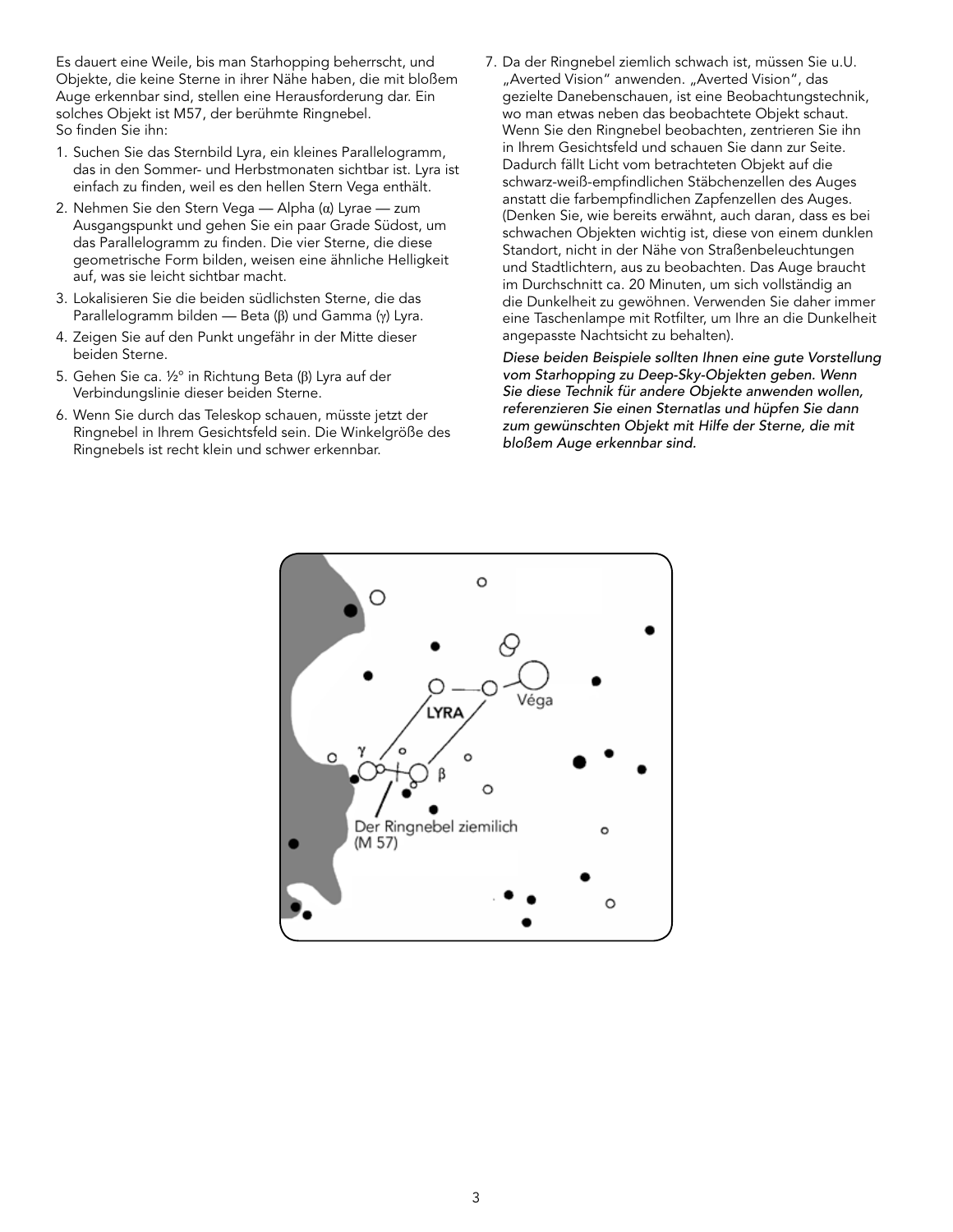Es dauert eine Weile, bis man Starhopping beherrscht, und Objekte, die keine Sterne in ihrer Nähe haben, die mit bloßem Auge erkennbar sind, stellen eine Herausforderung dar. Ein solches Objekt ist M57, der berühmte Ringnebel. So finden Sie ihn:

- 1. Suchen Sie das Sternbild Lyra, ein kleines Parallelogramm, das in den Sommer- und Herbstmonaten sichtbar ist. Lyra ist einfach zu finden, weil es den hellen Stern Vega enthält.
- 2. Nehmen Sie den Stern Vega Alpha (α) Lyrae zum Ausgangspunkt und gehen Sie ein paar Grade Südost, um das Parallelogramm zu finden. Die vier Sterne, die diese geometrische Form bilden, weisen eine ähnliche Helligkeit auf, was sie leicht sichtbar macht.
- 3. Lokalisieren Sie die beiden südlichsten Sterne, die das Parallelogramm bilden — Beta (β) und Gamma (γ) Lyra.
- 4. Zeigen Sie auf den Punkt ungefähr in der Mitte dieser beiden Sterne.
- 5. Gehen Sie ca. ½° in Richtung Beta (β) Lyra auf der Verbindungslinie dieser beiden Sterne.
- 6. Wenn Sie durch das Teleskop schauen, müsste jetzt der Ringnebel in Ihrem Gesichtsfeld sein. Die Winkelgröße des Ringnebels ist recht klein und schwer erkennbar.
- 7. Da der Ringnebel ziemlich schwach ist, müssen Sie u.U. "Averted Vision" anwenden. "Averted Vision", das gezielte Danebenschauen, ist eine Beobachtungstechnik, wo man etwas neben das beobachtete Objekt schaut. Wenn Sie den Ringnebel beobachten, zentrieren Sie ihn in Ihrem Gesichtsfeld und schauen Sie dann zur Seite. Dadurch fällt Licht vom betrachteten Objekt auf die schwarz-weiß-empfindlichen Stäbchenzellen des Auges anstatt die farbempfindlichen Zapfenzellen des Auges. (Denken Sie, wie bereits erwähnt, auch daran, dass es bei schwachen Objekten wichtig ist, diese von einem dunklen Standort, nicht in der Nähe von Straßenbeleuchtungen und Stadtlichtern, aus zu beobachten. Das Auge braucht im Durchschnitt ca. 20 Minuten, um sich vollständig an die Dunkelheit zu gewöhnen. Verwenden Sie daher immer eine Taschenlampe mit Rotfilter, um Ihre an die Dunkelheit angepasste Nachtsicht zu behalten).

*Diese beiden Beispiele sollten Ihnen eine gute Vorstellung vom Starhopping zu Deep-Sky-Objekten geben. Wenn Sie diese Technik für andere Objekte anwenden wollen, referenzieren Sie einen Sternatlas und hüpfen Sie dann zum gewünschten Objekt mit Hilfe der Sterne, die mit bloßem Auge erkennbar sind.*

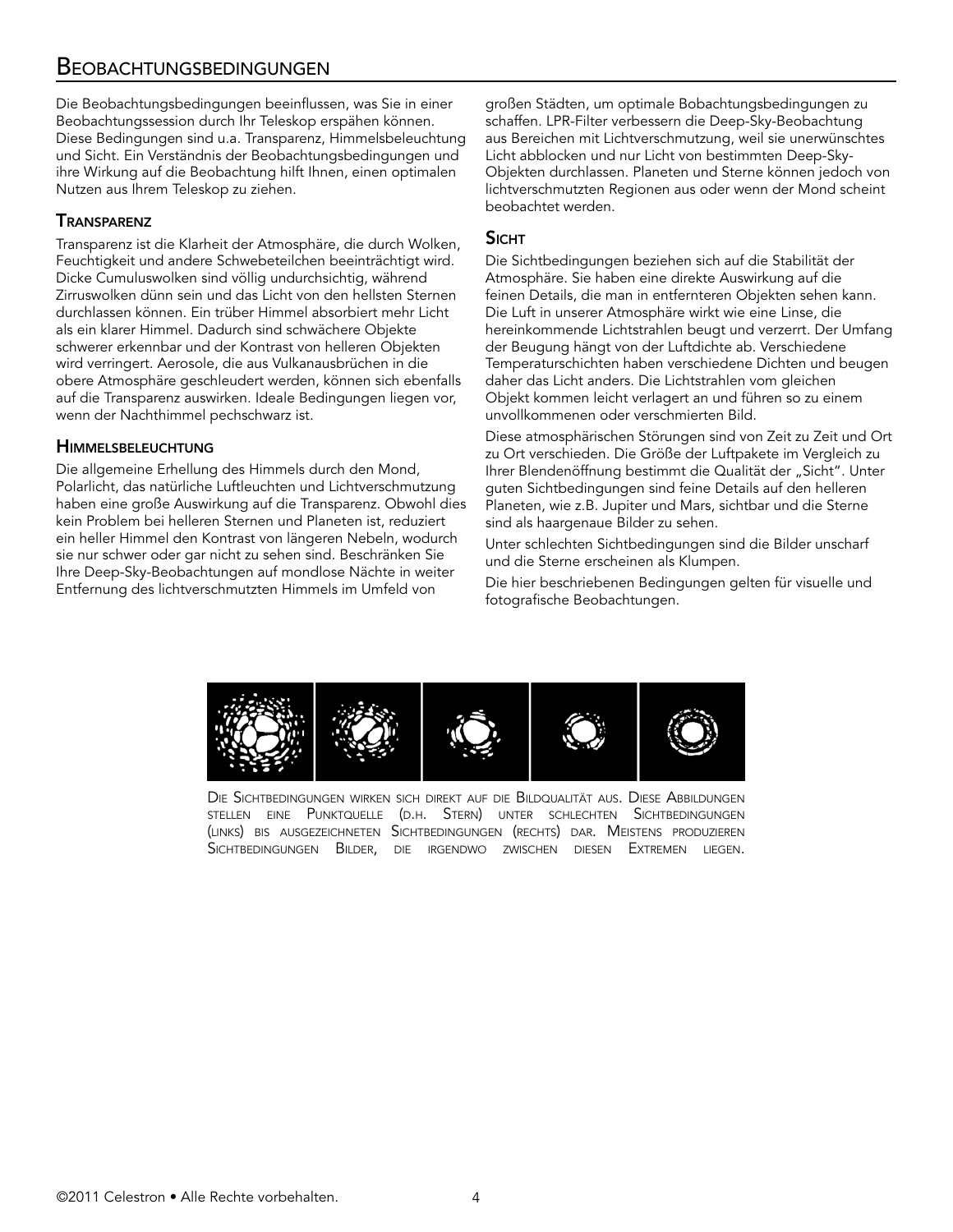### **BEOBACHTUNGSBEDINGUNGEN**

Die Beobachtungsbedingungen beeinflussen, was Sie in einer Beobachtungssession durch Ihr Teleskop erspähen können. Diese Bedingungen sind u.a. Transparenz, Himmelsbeleuchtung und Sicht. Ein Verständnis der Beobachtungsbedingungen und ihre Wirkung auf die Beobachtung hilft Ihnen, einen optimalen Nutzen aus Ihrem Teleskop zu ziehen.

#### **TRANSPARENZ**

Transparenz ist die Klarheit der Atmosphäre, die durch Wolken, Feuchtigkeit und andere Schwebeteilchen beeinträchtigt wird. Dicke Cumuluswolken sind völlig undurchsichtig, während Zirruswolken dünn sein und das Licht von den hellsten Sternen durchlassen können. Ein trüber Himmel absorbiert mehr Licht als ein klarer Himmel. Dadurch sind schwächere Objekte schwerer erkennbar und der Kontrast von helleren Objekten wird verringert. Aerosole, die aus Vulkanausbrüchen in die obere Atmosphäre geschleudert werden, können sich ebenfalls auf die Transparenz auswirken. Ideale Bedingungen liegen vor, wenn der Nachthimmel pechschwarz ist.

#### **HIMMELSBELEUCHTUNG**

Die allgemeine Erhellung des Himmels durch den Mond, Polarlicht, das natürliche Luftleuchten und Lichtverschmutzung haben eine große Auswirkung auf die Transparenz. Obwohl dies kein Problem bei helleren Sternen und Planeten ist, reduziert ein heller Himmel den Kontrast von längeren Nebeln, wodurch sie nur schwer oder gar nicht zu sehen sind. Beschränken Sie Ihre Deep-Sky-Beobachtungen auf mondlose Nächte in weiter Entfernung des lichtverschmutzten Himmels im Umfeld von

großen Städten, um optimale Bobachtungsbedingungen zu schaffen. LPR-Filter verbessern die Deep-Sky-Beobachtung aus Bereichen mit Lichtverschmutzung, weil sie unerwünschtes Licht abblocken und nur Licht von bestimmten Deep-Sky-Objekten durchlassen. Planeten und Sterne können jedoch von lichtverschmutzten Regionen aus oder wenn der Mond scheint beobachtet werden.

#### **SICHT**

Die Sichtbedingungen beziehen sich auf die Stabilität der Atmosphäre. Sie haben eine direkte Auswirkung auf die feinen Details, die man in entfernteren Objekten sehen kann. Die Luft in unserer Atmosphäre wirkt wie eine Linse, die hereinkommende Lichtstrahlen beugt und verzerrt. Der Umfang der Beugung hängt von der Luftdichte ab. Verschiedene Temperaturschichten haben verschiedene Dichten und beugen daher das Licht anders. Die Lichtstrahlen vom gleichen Objekt kommen leicht verlagert an und führen so zu einem unvollkommenen oder verschmierten Bild.

Diese atmosphärischen Störungen sind von Zeit zu Zeit und Ort zu Ort verschieden. Die Größe der Luftpakete im Vergleich zu Ihrer Blendenöffnung bestimmt die Qualität der "Sicht". Unter guten Sichtbedingungen sind feine Details auf den helleren Planeten, wie z.B. Jupiter und Mars, sichtbar und die Sterne sind als haargenaue Bilder zu sehen.

Unter schlechten Sichtbedingungen sind die Bilder unscharf und die Sterne erscheinen als Klumpen.

Die hier beschriebenen Bedingungen gelten für visuelle und fotografische Beobachtungen.



Die Sichtbedingungen wirken sich direkt auf die Bildqualität aus. Diese Abbildungen stellen eine Punktquelle (d.h. Stern) unter schlechten Sichtbedingungen (links) bis ausgezeichneten Sichtbedingungen (rechts) dar. Meistens produzieren Sichtbedingungen Bilder, die irgendwo zwischen diesen Extremen liegen.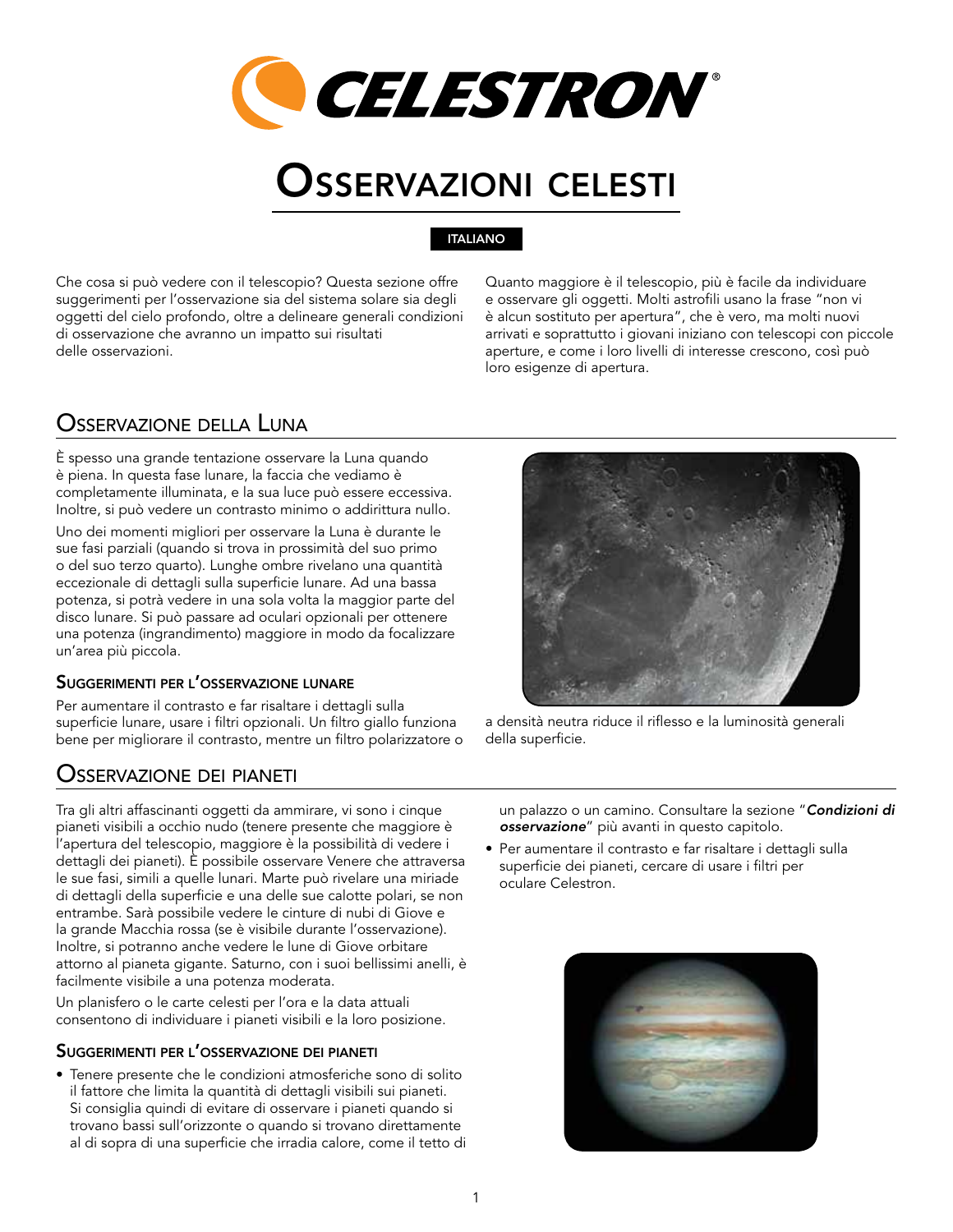

# Osservazioni celesti

#### ITALIANO

Che cosa si può vedere con il telescopio? Questa sezione offre suggerimenti per l'osservazione sia del sistema solare sia degli oggetti del cielo profondo, oltre a delineare generali condizioni di osservazione che avranno un impatto sui risultati delle osservazioni.

Quanto maggiore è il telescopio, più è facile da individuare e osservare gli oggetti. Molti astrofili usano la frase "non vi è alcun sostituto per apertura", che è vero, ma molti nuovi arrivati e soprattutto i giovani iniziano con telescopi con piccole aperture, e come i loro livelli di interesse crescono, così può loro esigenze di apertura.

## Osservazione della Luna

È spesso una grande tentazione osservare la Luna quando è piena. In questa fase lunare, la faccia che vediamo è completamente illuminata, e la sua luce può essere eccessiva. Inoltre, si può vedere un contrasto minimo o addirittura nullo.

Uno dei momenti migliori per osservare la Luna è durante le sue fasi parziali (quando si trova in prossimità del suo primo o del suo terzo quarto). Lunghe ombre rivelano una quantità eccezionale di dettagli sulla superficie lunare. Ad una bassa potenza, si potrà vedere in una sola volta la maggior parte del disco lunare. Si può passare ad oculari opzionali per ottenere una potenza (ingrandimento) maggiore in modo da focalizzare un'area più piccola.

#### Suggerimenti per l'osservazione lunare

Per aumentare il contrasto e far risaltare i dettagli sulla superficie lunare, usare i filtri opzionali. Un filtro giallo funziona bene per migliorare il contrasto, mentre un filtro polarizzatore o

### Osservazione dei pianeti

Tra gli altri affascinanti oggetti da ammirare, vi sono i cinque pianeti visibili a occhio nudo (tenere presente che maggiore è l'apertura del telescopio, maggiore è la possibilità di vedere i dettagli dei pianeti). È possibile osservare Venere che attraversa le sue fasi, simili a quelle lunari. Marte può rivelare una miriade di dettagli della superficie e una delle sue calotte polari, se non entrambe. Sarà possibile vedere le cinture di nubi di Giove e la grande Macchia rossa (se è visibile durante l'osservazione). Inoltre, si potranno anche vedere le lune di Giove orbitare attorno al pianeta gigante. Saturno, con i suoi bellissimi anelli, è facilmente visibile a una potenza moderata.

Un planisfero o le carte celesti per l'ora e la data attuali consentono di individuare i pianeti visibili e la loro posizione.

#### Suggerimenti per l'osservazione dei pianeti

• Tenere presente che le condizioni atmosferiche sono di solito il fattore che limita la quantità di dettagli visibili sui pianeti. Si consiglia quindi di evitare di osservare i pianeti quando si trovano bassi sull'orizzonte o quando si trovano direttamente al di sopra di una superficie che irradia calore, come il tetto di

a densità neutra riduce il riflesso e la luminosità generali della superficie.

un palazzo o un camino. Consultare la sezione "*Condizioni di osservazione*" più avanti in questo capitolo.

• Per aumentare il contrasto e far risaltare i dettagli sulla superficie dei pianeti, cercare di usare i filtri per oculare Celestron.

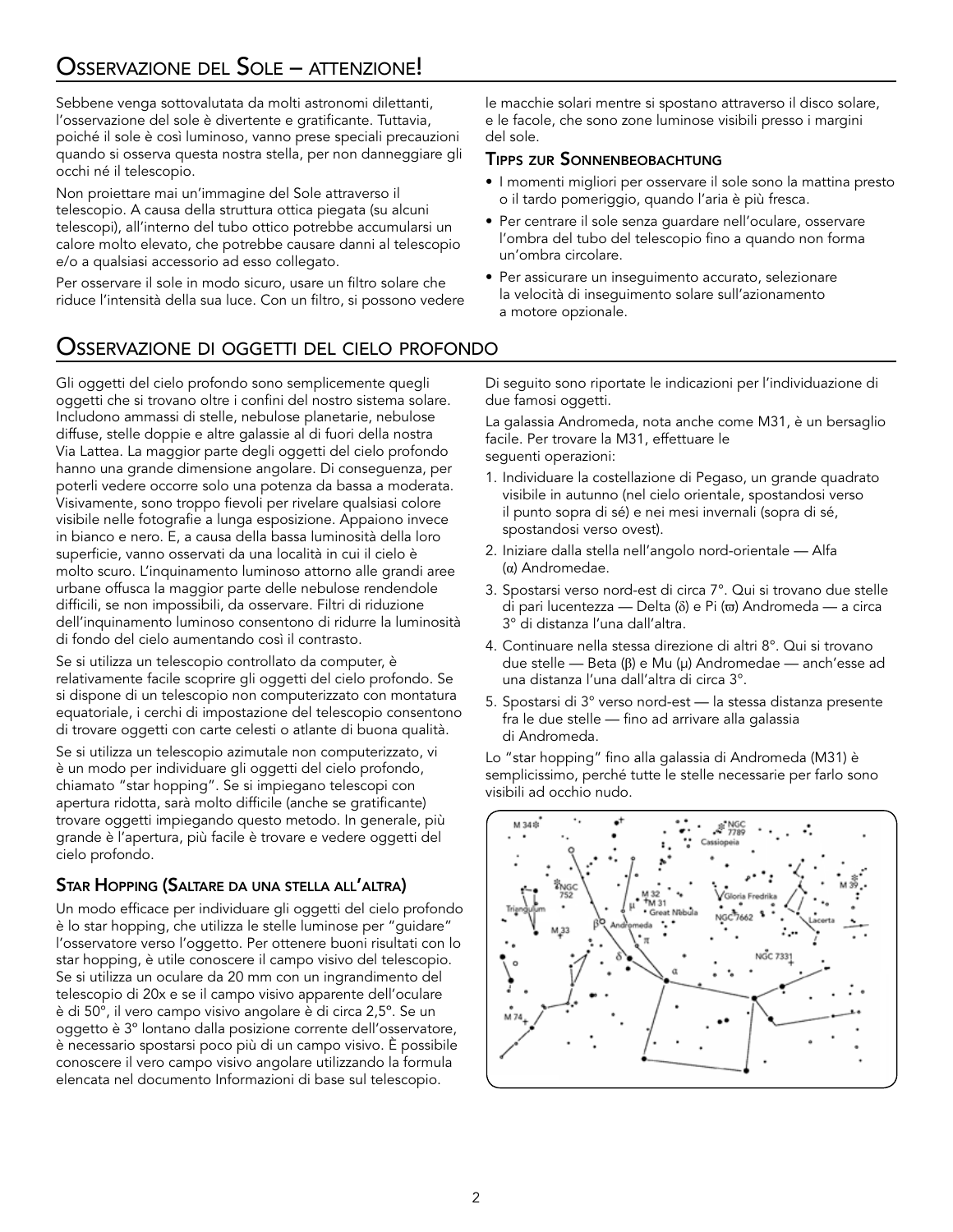Sebbene venga sottovalutata da molti astronomi dilettanti, l'osservazione del sole è divertente e gratificante. Tuttavia, poiché il sole è così luminoso, vanno prese speciali precauzioni quando si osserva questa nostra stella, per non danneggiare gli occhi né il telescopio.

Non proiettare mai un'immagine del Sole attraverso il telescopio. A causa della struttura ottica piegata (su alcuni telescopi), all'interno del tubo ottico potrebbe accumularsi un calore molto elevato, che potrebbe causare danni al telescopio e/o a qualsiasi accessorio ad esso collegato.

Per osservare il sole in modo sicuro, usare un filtro solare che riduce l'intensità della sua luce. Con un filtro, si possono vedere

### Osservazione di oggetti del cielo profondo

Gli oggetti del cielo profondo sono semplicemente quegli oggetti che si trovano oltre i confini del nostro sistema solare. Includono ammassi di stelle, nebulose planetarie, nebulose diffuse, stelle doppie e altre galassie al di fuori della nostra Via Lattea. La maggior parte degli oggetti del cielo profondo hanno una grande dimensione angolare. Di conseguenza, per poterli vedere occorre solo una potenza da bassa a moderata. Visivamente, sono troppo fievoli per rivelare qualsiasi colore visibile nelle fotografie a lunga esposizione. Appaiono invece in bianco e nero. E, a causa della bassa luminosità della loro superficie, vanno osservati da una località in cui il cielo è molto scuro. L'inquinamento luminoso attorno alle grandi aree urbane offusca la maggior parte delle nebulose rendendole difficili, se non impossibili, da osservare. Filtri di riduzione dell'inquinamento luminoso consentono di ridurre la luminosità di fondo del cielo aumentando così il contrasto.

Se si utilizza un telescopio controllato da computer, è relativamente facile scoprire gli oggetti del cielo profondo. Se si dispone di un telescopio non computerizzato con montatura equatoriale, i cerchi di impostazione del telescopio consentono di trovare oggetti con carte celesti o atlante di buona qualità.

Se si utilizza un telescopio azimutale non computerizzato, vi è un modo per individuare gli oggetti del cielo profondo, chiamato "star hopping". Se si impiegano telescopi con apertura ridotta, sarà molto difficile (anche se gratificante) trovare oggetti impiegando questo metodo. In generale, più grande è l'apertura, più facile è trovare e vedere oggetti del cielo profondo.

#### Star Hopping (Saltare da una stella all'altra)

Un modo efficace per individuare gli oggetti del cielo profondo è lo star hopping, che utilizza le stelle luminose per "guidare" l'osservatore verso l'oggetto. Per ottenere buoni risultati con lo star hopping, è utile conoscere il campo visivo del telescopio. Se si utilizza un oculare da 20 mm con un ingrandimento del telescopio di 20x e se il campo visivo apparente dell'oculare è di 50°, il vero campo visivo angolare è di circa 2,5º. Se un oggetto è 3º lontano dalla posizione corrente dell'osservatore, è necessario spostarsi poco più di un campo visivo. È possibile conoscere il vero campo visivo angolare utilizzando la formula elencata nel documento Informazioni di base sul telescopio.

le macchie solari mentre si spostano attraverso il disco solare, e le facole, che sono zone luminose visibili presso i margini del sole.

#### Tipps zur Sonnenbeobachtung

- I momenti migliori per osservare il sole sono la mattina presto o il tardo pomeriggio, quando l'aria è più fresca.
- Per centrare il sole senza guardare nell'oculare, osservare l'ombra del tubo del telescopio fino a quando non forma un'ombra circolare.
- Per assicurare un inseguimento accurato, selezionare la velocità di inseguimento solare sull'azionamento a motore opzionale.

Di seguito sono riportate le indicazioni per l'individuazione di due famosi oggetti.

La galassia Andromeda, nota anche come M31, è un bersaglio facile. Per trovare la M31, effettuare le seguenti operazioni:

- 1. Individuare la costellazione di Pegaso, un grande quadrato visibile in autunno (nel cielo orientale, spostandosi verso il punto sopra di sé) e nei mesi invernali (sopra di sé, spostandosi verso ovest).
- 2. Iniziare dalla stella nell'angolo nord-orientale Alfa (α) Andromedae.
- 3. Spostarsi verso nord-est di circa 7°. Qui si trovano due stelle di pari lucentezza — Delta (δ) e Pi (π) Andromeda — a circa 3° di distanza l'una dall'altra.
- 4. Continuare nella stessa direzione di altri 8°. Qui si trovano due stelle — Beta (β) e Mu (μ) Andromedae — anch'esse ad una distanza l'una dall'altra di circa 3°.
- 5. Spostarsi di 3° verso nord-est la stessa distanza presente fra le due stelle — fino ad arrivare alla galassia di Andromeda.

Lo "star hopping" fino alla galassia di Andromeda (M31) è semplicissimo, perché tutte le stelle necessarie per farlo sono visibili ad occhio nudo.

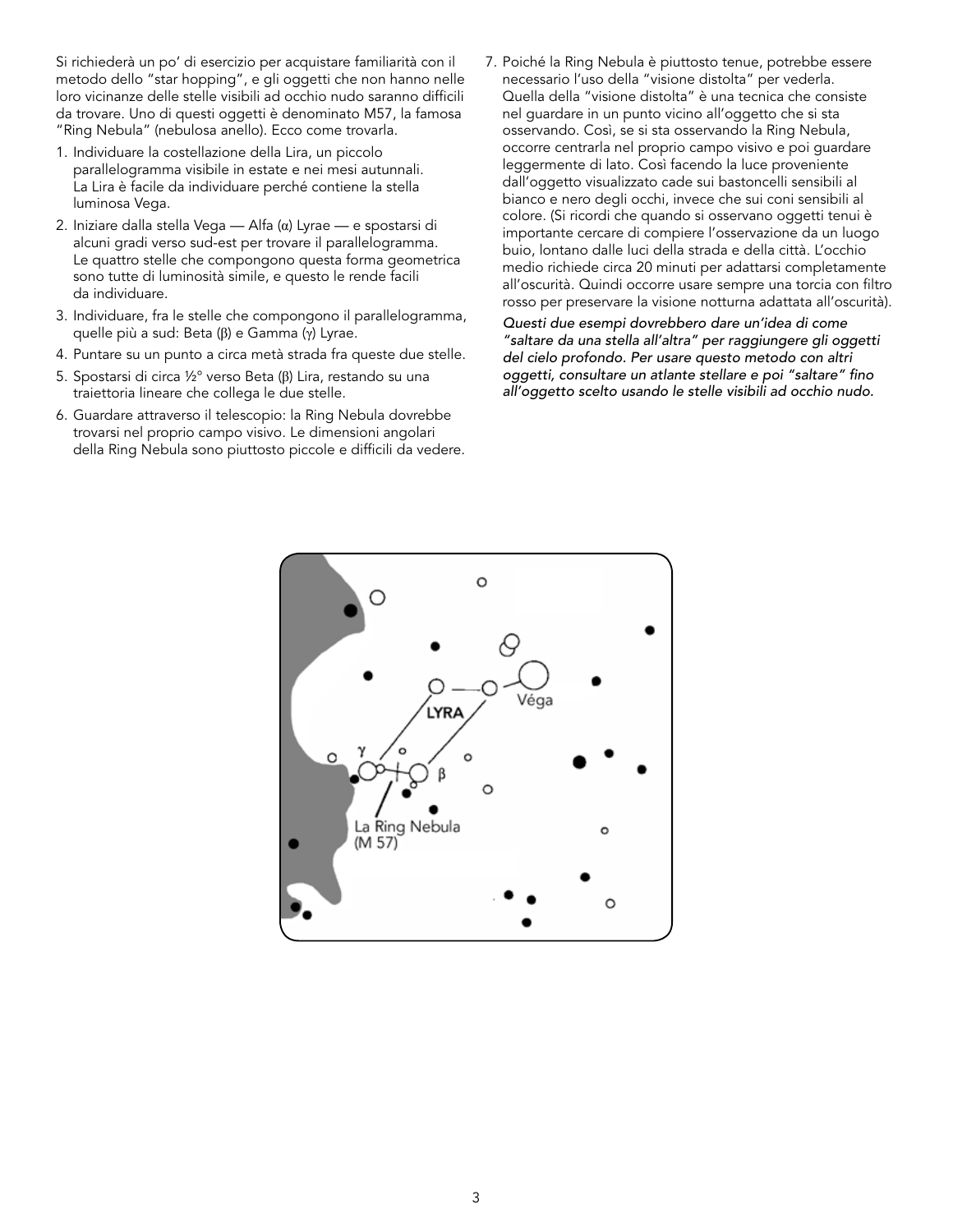Si richiederà un po' di esercizio per acquistare familiarità con il metodo dello "star hopping", e gli oggetti che non hanno nelle loro vicinanze delle stelle visibili ad occhio nudo saranno difficili da trovare. Uno di questi oggetti è denominato M57, la famosa "Ring Nebula" (nebulosa anello). Ecco come trovarla.

- 1. Individuare la costellazione della Lira, un piccolo parallelogramma visibile in estate e nei mesi autunnali. La Lira è facile da individuare perché contiene la stella luminosa Vega.
- 2. Iniziare dalla stella Vega Alfa (α) Lyrae e spostarsi di alcuni gradi verso sud-est per trovare il parallelogramma. Le quattro stelle che compongono questa forma geometrica sono tutte di luminosità simile, e questo le rende facili da individuare.
- 3. Individuare, fra le stelle che compongono il parallelogramma, quelle più a sud: Beta (β) e Gamma (γ) Lyrae.
- 4. Puntare su un punto a circa metà strada fra queste due stelle.
- 5. Spostarsi di circa ½° verso Beta (β) Lira, restando su una traiettoria lineare che collega le due stelle.
- 6. Guardare attraverso il telescopio: la Ring Nebula dovrebbe trovarsi nel proprio campo visivo. Le dimensioni angolari della Ring Nebula sono piuttosto piccole e difficili da vedere.
- 7. Poiché la Ring Nebula è piuttosto tenue, potrebbe essere necessario l'uso della "visione distolta" per vederla. Quella della "visione distolta" è una tecnica che consiste nel guardare in un punto vicino all'oggetto che si sta osservando. Così, se si sta osservando la Ring Nebula, occorre centrarla nel proprio campo visivo e poi guardare leggermente di lato. Così facendo la luce proveniente dall'oggetto visualizzato cade sui bastoncelli sensibili al bianco e nero degli occhi, invece che sui coni sensibili al colore. (Si ricordi che quando si osservano oggetti tenui è importante cercare di compiere l'osservazione da un luogo buio, lontano dalle luci della strada e della città. L'occhio medio richiede circa 20 minuti per adattarsi completamente all'oscurità. Quindi occorre usare sempre una torcia con filtro rosso per preservare la visione notturna adattata all'oscurità).

*Questi due esempi dovrebbero dare un'idea di come "saltare da una stella all'altra" per raggiungere gli oggetti del cielo profondo. Per usare questo metodo con altri oggetti, consultare un atlante stellare e poi "saltare" fino all'oggetto scelto usando le stelle visibili ad occhio nudo.*